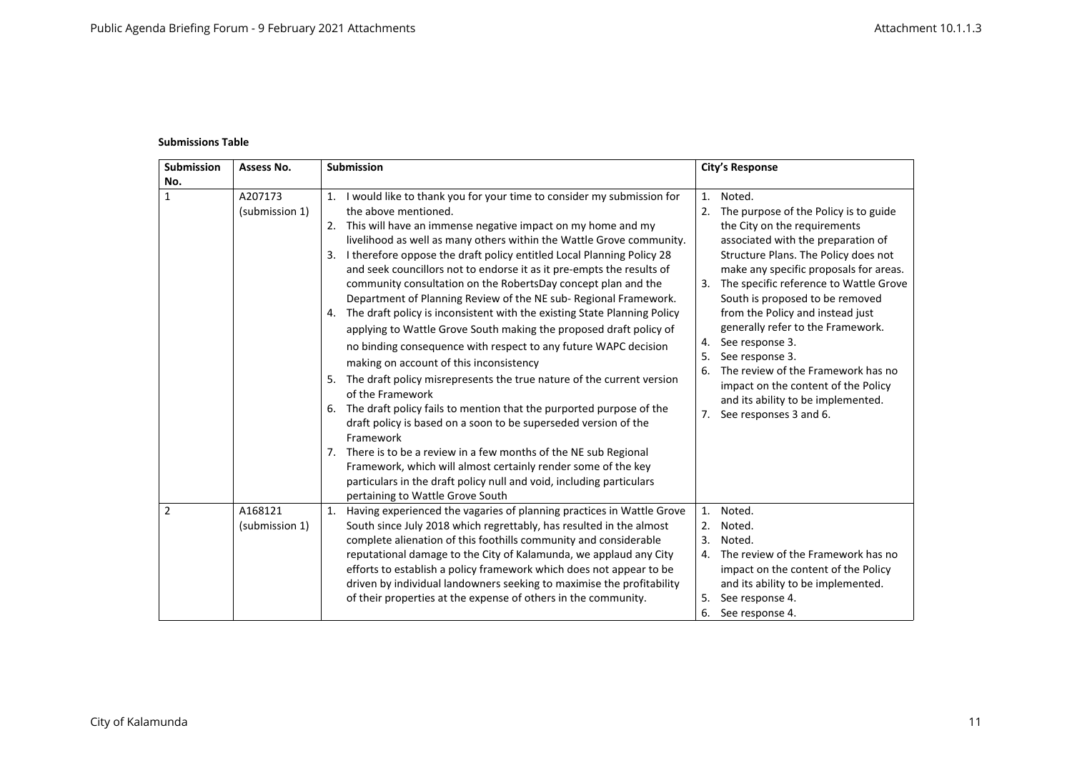## **Submissions Table**

| <b>Submission</b> | Assess No.                | <b>Submission</b>                                                                                                                                                                                                                                                                                                                                                                                                                                                                                                                                                                                                                                                                                                                                                                                                                                                                                                                                                                                                                                                                                                                                                                                                                                                                                                                        | <b>City's Response</b>                                                                                                                                                                                                                                                                                                                                                                                                                                                                                                                                                                  |  |
|-------------------|---------------------------|------------------------------------------------------------------------------------------------------------------------------------------------------------------------------------------------------------------------------------------------------------------------------------------------------------------------------------------------------------------------------------------------------------------------------------------------------------------------------------------------------------------------------------------------------------------------------------------------------------------------------------------------------------------------------------------------------------------------------------------------------------------------------------------------------------------------------------------------------------------------------------------------------------------------------------------------------------------------------------------------------------------------------------------------------------------------------------------------------------------------------------------------------------------------------------------------------------------------------------------------------------------------------------------------------------------------------------------|-----------------------------------------------------------------------------------------------------------------------------------------------------------------------------------------------------------------------------------------------------------------------------------------------------------------------------------------------------------------------------------------------------------------------------------------------------------------------------------------------------------------------------------------------------------------------------------------|--|
| No.               |                           |                                                                                                                                                                                                                                                                                                                                                                                                                                                                                                                                                                                                                                                                                                                                                                                                                                                                                                                                                                                                                                                                                                                                                                                                                                                                                                                                          |                                                                                                                                                                                                                                                                                                                                                                                                                                                                                                                                                                                         |  |
| $\mathbf{1}$      | A207173<br>(submission 1) | I would like to thank you for your time to consider my submission for<br>1.<br>the above mentioned.<br>This will have an immense negative impact on my home and my<br>2.<br>livelihood as well as many others within the Wattle Grove community.<br>I therefore oppose the draft policy entitled Local Planning Policy 28<br>3.<br>and seek councillors not to endorse it as it pre-empts the results of<br>community consultation on the RobertsDay concept plan and the<br>Department of Planning Review of the NE sub- Regional Framework.<br>The draft policy is inconsistent with the existing State Planning Policy<br>4.<br>applying to Wattle Grove South making the proposed draft policy of<br>no binding consequence with respect to any future WAPC decision<br>making on account of this inconsistency<br>The draft policy misrepresents the true nature of the current version<br>5.<br>of the Framework<br>The draft policy fails to mention that the purported purpose of the<br>6.<br>draft policy is based on a soon to be superseded version of the<br>Framework<br>There is to be a review in a few months of the NE sub Regional<br>7.<br>Framework, which will almost certainly render some of the key<br>particulars in the draft policy null and void, including particulars<br>pertaining to Wattle Grove South | 1.<br>Noted.<br>The purpose of the Policy is to guide<br>2.<br>the City on the requirements<br>associated with the preparation of<br>Structure Plans. The Policy does not<br>make any specific proposals for areas.<br>The specific reference to Wattle Grove<br>3.<br>South is proposed to be removed<br>from the Policy and instead just<br>generally refer to the Framework.<br>See response 3.<br>4.<br>See response 3.<br>5.<br>The review of the Framework has no<br>6.<br>impact on the content of the Policy<br>and its ability to be implemented.<br>7. See responses 3 and 6. |  |
| 2                 | A168121<br>(submission 1) | Having experienced the vagaries of planning practices in Wattle Grove<br>1.<br>South since July 2018 which regrettably, has resulted in the almost<br>complete alienation of this foothills community and considerable<br>reputational damage to the City of Kalamunda, we applaud any City<br>efforts to establish a policy framework which does not appear to be<br>driven by individual landowners seeking to maximise the profitability<br>of their properties at the expense of others in the community.                                                                                                                                                                                                                                                                                                                                                                                                                                                                                                                                                                                                                                                                                                                                                                                                                            | Noted.<br>1.<br>Noted.<br>2.<br>Noted.<br>3.<br>The review of the Framework has no<br>4.<br>impact on the content of the Policy<br>and its ability to be implemented.<br>See response 4.<br>5.<br>See response 4.<br>6.                                                                                                                                                                                                                                                                                                                                                                 |  |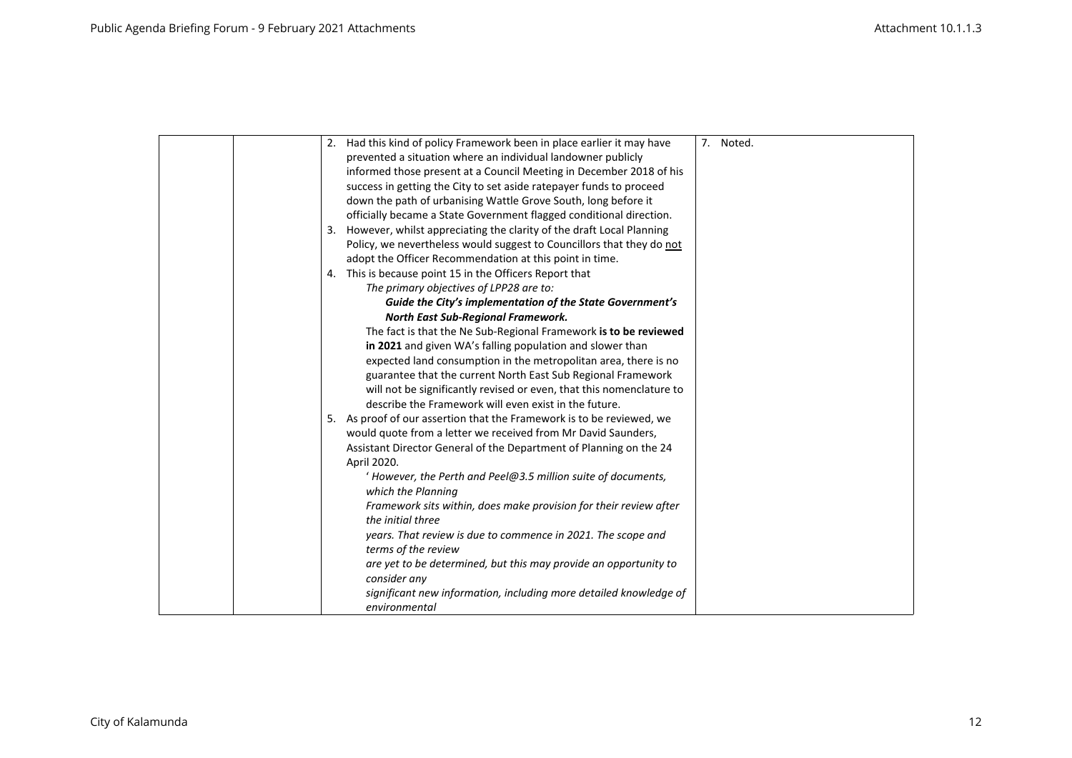|  | 2. Had this kind of policy Framework been in place earlier it may have  | 7. Noted. |
|--|-------------------------------------------------------------------------|-----------|
|  | prevented a situation where an individual landowner publicly            |           |
|  | informed those present at a Council Meeting in December 2018 of his     |           |
|  | success in getting the City to set aside ratepayer funds to proceed     |           |
|  | down the path of urbanising Wattle Grove South, long before it          |           |
|  | officially became a State Government flagged conditional direction.     |           |
|  | 3. However, whilst appreciating the clarity of the draft Local Planning |           |
|  | Policy, we nevertheless would suggest to Councillors that they do not   |           |
|  | adopt the Officer Recommendation at this point in time.                 |           |
|  | 4. This is because point 15 in the Officers Report that                 |           |
|  | The primary objectives of LPP28 are to:                                 |           |
|  | Guide the City's implementation of the State Government's               |           |
|  | North East Sub-Regional Framework.                                      |           |
|  | The fact is that the Ne Sub-Regional Framework is to be reviewed        |           |
|  | in 2021 and given WA's falling population and slower than               |           |
|  | expected land consumption in the metropolitan area, there is no         |           |
|  | guarantee that the current North East Sub Regional Framework            |           |
|  | will not be significantly revised or even, that this nomenclature to    |           |
|  | describe the Framework will even exist in the future.                   |           |
|  | 5. As proof of our assertion that the Framework is to be reviewed, we   |           |
|  | would quote from a letter we received from Mr David Saunders,           |           |
|  | Assistant Director General of the Department of Planning on the 24      |           |
|  | April 2020.                                                             |           |
|  | ' However, the Perth and Peel@3.5 million suite of documents,           |           |
|  | which the Planning                                                      |           |
|  | Framework sits within, does make provision for their review after       |           |
|  | the initial three                                                       |           |
|  | years. That review is due to commence in 2021. The scope and            |           |
|  | terms of the review                                                     |           |
|  | are yet to be determined, but this may provide an opportunity to        |           |
|  | consider any                                                            |           |
|  | significant new information, including more detailed knowledge of       |           |
|  | environmental                                                           |           |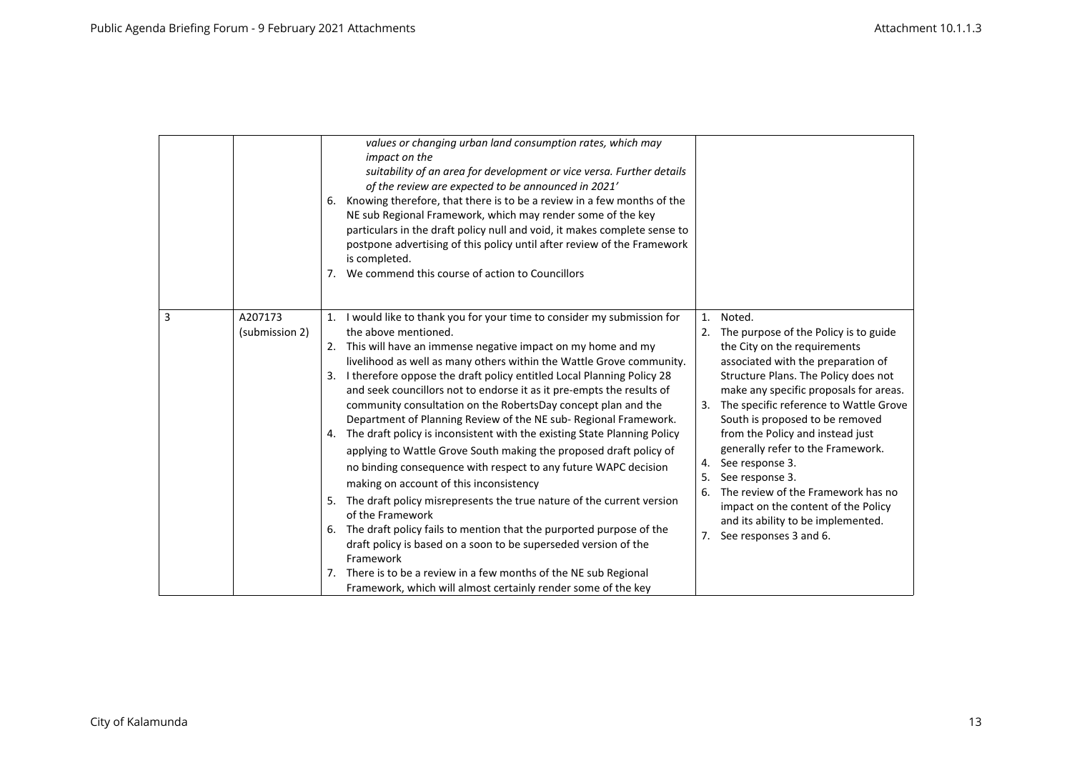|                                | values or changing urban land consumption rates, which may<br>impact on the<br>suitability of an area for development or vice versa. Further details<br>of the review are expected to be announced in 2021'<br>Knowing therefore, that there is to be a review in a few months of the<br>6.<br>NE sub Regional Framework, which may render some of the key<br>particulars in the draft policy null and void, it makes complete sense to<br>postpone advertising of this policy until after review of the Framework<br>is completed.<br>We commend this course of action to Councillors<br>7.                                                                                                                                                                                                                                                                                                                                                                                                                                                                                                                                                                                                                       |                                                                                                                                                                                                                                                                                                                                                                                                                                                                                                                                                                                         |
|--------------------------------|--------------------------------------------------------------------------------------------------------------------------------------------------------------------------------------------------------------------------------------------------------------------------------------------------------------------------------------------------------------------------------------------------------------------------------------------------------------------------------------------------------------------------------------------------------------------------------------------------------------------------------------------------------------------------------------------------------------------------------------------------------------------------------------------------------------------------------------------------------------------------------------------------------------------------------------------------------------------------------------------------------------------------------------------------------------------------------------------------------------------------------------------------------------------------------------------------------------------|-----------------------------------------------------------------------------------------------------------------------------------------------------------------------------------------------------------------------------------------------------------------------------------------------------------------------------------------------------------------------------------------------------------------------------------------------------------------------------------------------------------------------------------------------------------------------------------------|
| 3<br>A207173<br>(submission 2) | 1. I would like to thank you for your time to consider my submission for<br>the above mentioned.<br>This will have an immense negative impact on my home and my<br>2.<br>livelihood as well as many others within the Wattle Grove community.<br>I therefore oppose the draft policy entitled Local Planning Policy 28<br>3.<br>and seek councillors not to endorse it as it pre-empts the results of<br>community consultation on the RobertsDay concept plan and the<br>Department of Planning Review of the NE sub-Regional Framework.<br>4. The draft policy is inconsistent with the existing State Planning Policy<br>applying to Wattle Grove South making the proposed draft policy of<br>no binding consequence with respect to any future WAPC decision<br>making on account of this inconsistency<br>5. The draft policy misrepresents the true nature of the current version<br>of the Framework<br>The draft policy fails to mention that the purported purpose of the<br>6.<br>draft policy is based on a soon to be superseded version of the<br>Framework<br>There is to be a review in a few months of the NE sub Regional<br>7.<br>Framework, which will almost certainly render some of the key | Noted.<br>1.<br>The purpose of the Policy is to guide<br>2.<br>the City on the requirements<br>associated with the preparation of<br>Structure Plans. The Policy does not<br>make any specific proposals for areas.<br>The specific reference to Wattle Grove<br>3.<br>South is proposed to be removed<br>from the Policy and instead just<br>generally refer to the Framework.<br>See response 3.<br>4.<br>See response 3.<br>5.<br>The review of the Framework has no<br>6.<br>impact on the content of the Policy<br>and its ability to be implemented.<br>7. See responses 3 and 6. |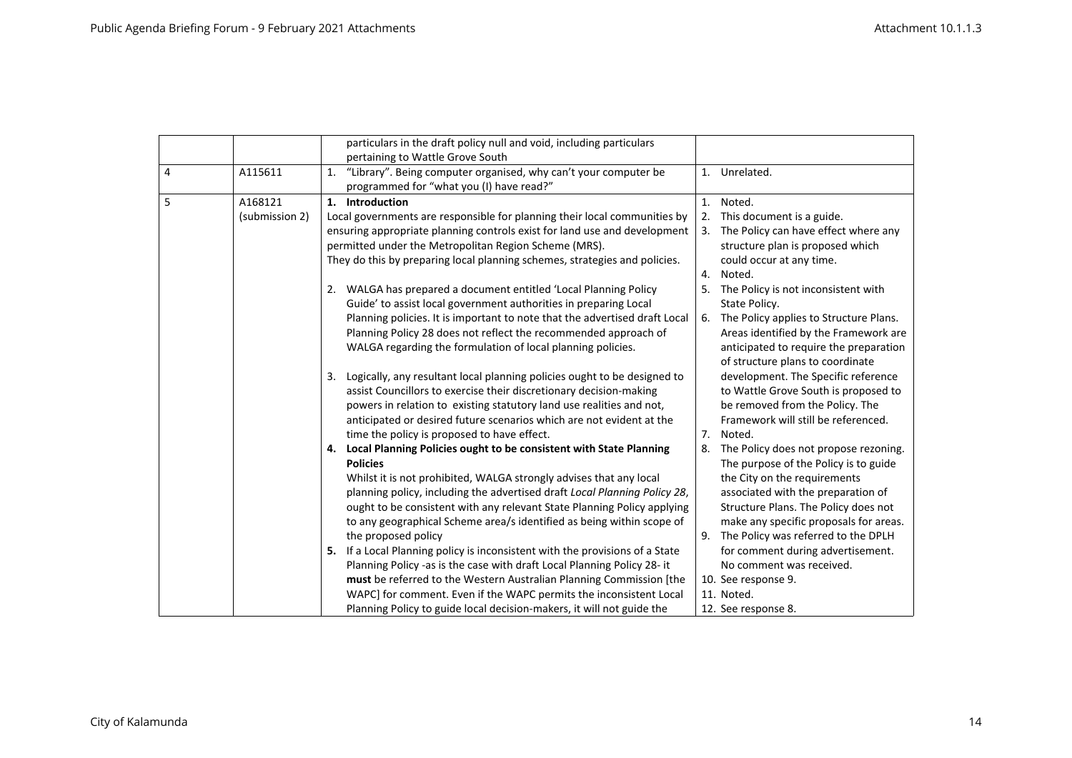|   |                | particulars in the draft policy null and void, including particulars            |    |                                        |
|---|----------------|---------------------------------------------------------------------------------|----|----------------------------------------|
|   |                | pertaining to Wattle Grove South                                                |    |                                        |
| 4 | A115611        | "Library". Being computer organised, why can't your computer be<br>1.           |    | 1. Unrelated.                          |
|   |                | programmed for "what you (I) have read?"                                        |    |                                        |
| 5 | A168121        | 1. Introduction                                                                 | 1. | Noted.                                 |
|   | (submission 2) | Local governments are responsible for planning their local communities by       |    | 2. This document is a guide.           |
|   |                | ensuring appropriate planning controls exist for land use and development       | 3. | The Policy can have effect where any   |
|   |                | permitted under the Metropolitan Region Scheme (MRS).                           |    | structure plan is proposed which       |
|   |                | They do this by preparing local planning schemes, strategies and policies.      |    | could occur at any time.               |
|   |                |                                                                                 | 4. | Noted.                                 |
|   |                | 2. WALGA has prepared a document entitled 'Local Planning Policy                | 5. | The Policy is not inconsistent with    |
|   |                | Guide' to assist local government authorities in preparing Local                |    | State Policy.                          |
|   |                | Planning policies. It is important to note that the advertised draft Local      | 6. | The Policy applies to Structure Plans. |
|   |                | Planning Policy 28 does not reflect the recommended approach of                 |    | Areas identified by the Framework are  |
|   |                | WALGA regarding the formulation of local planning policies.                     |    | anticipated to require the preparation |
|   |                |                                                                                 |    | of structure plans to coordinate       |
|   |                | Logically, any resultant local planning policies ought to be designed to<br>3.  |    | development. The Specific reference    |
|   |                | assist Councillors to exercise their discretionary decision-making              |    | to Wattle Grove South is proposed to   |
|   |                | powers in relation to existing statutory land use realities and not,            |    | be removed from the Policy. The        |
|   |                | anticipated or desired future scenarios which are not evident at the            |    | Framework will still be referenced.    |
|   |                | time the policy is proposed to have effect.                                     | 7. | Noted.                                 |
|   |                | 4. Local Planning Policies ought to be consistent with State Planning           | 8. | The Policy does not propose rezoning.  |
|   |                | <b>Policies</b>                                                                 |    | The purpose of the Policy is to guide  |
|   |                | Whilst it is not prohibited, WALGA strongly advises that any local              |    | the City on the requirements           |
|   |                | planning policy, including the advertised draft Local Planning Policy 28,       |    | associated with the preparation of     |
|   |                | ought to be consistent with any relevant State Planning Policy applying         |    | Structure Plans. The Policy does not   |
|   |                | to any geographical Scheme area/s identified as being within scope of           |    | make any specific proposals for areas. |
|   |                | the proposed policy                                                             | 9. | The Policy was referred to the DPLH    |
|   |                | If a Local Planning policy is inconsistent with the provisions of a State<br>5. |    | for comment during advertisement.      |
|   |                | Planning Policy -as is the case with draft Local Planning Policy 28- it         |    | No comment was received.               |
|   |                | must be referred to the Western Australian Planning Commission [the             |    | 10. See response 9.                    |
|   |                | WAPC] for comment. Even if the WAPC permits the inconsistent Local              |    | 11. Noted.                             |
|   |                | Planning Policy to guide local decision-makers, it will not guide the           |    | 12. See response 8.                    |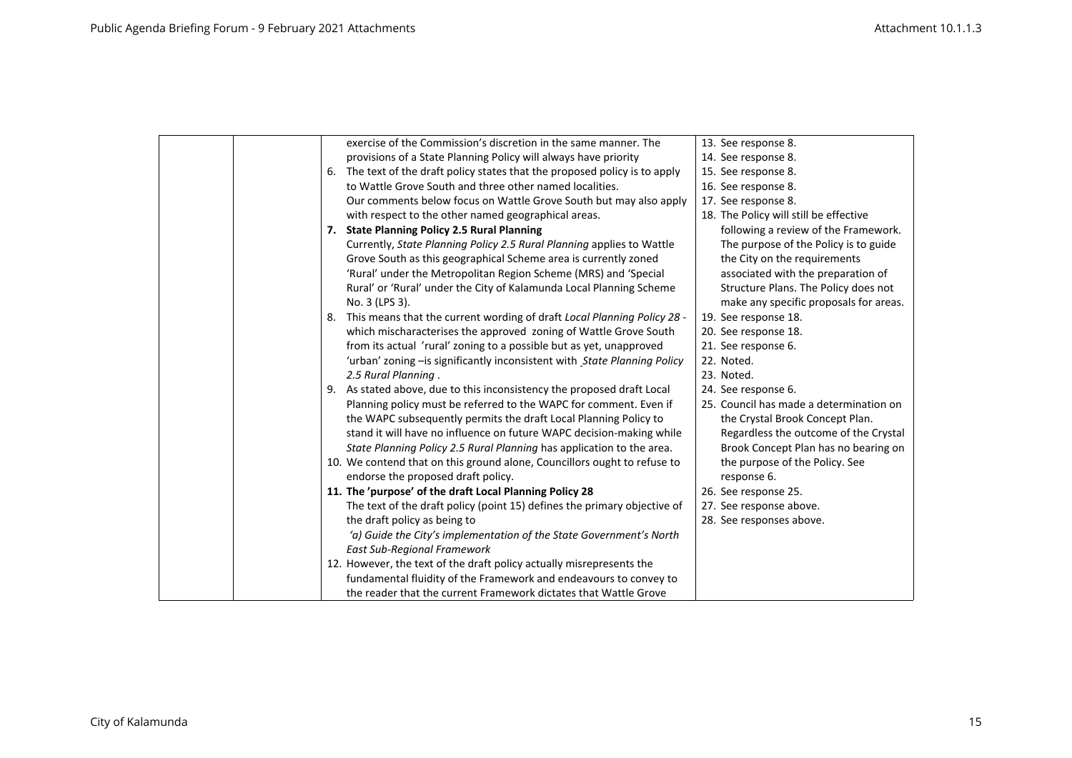| exercise of the Commission's discretion in the same manner. The                | 13. See response 8.                     |
|--------------------------------------------------------------------------------|-----------------------------------------|
| provisions of a State Planning Policy will always have priority                | 14. See response 8.                     |
| The text of the draft policy states that the proposed policy is to apply<br>6. | 15. See response 8.                     |
| to Wattle Grove South and three other named localities.                        | 16. See response 8.                     |
|                                                                                | 17. See response 8.                     |
| Our comments below focus on Wattle Grove South but may also apply              |                                         |
| with respect to the other named geographical areas.                            | 18. The Policy will still be effective  |
| 7. State Planning Policy 2.5 Rural Planning                                    | following a review of the Framework.    |
| Currently, State Planning Policy 2.5 Rural Planning applies to Wattle          | The purpose of the Policy is to guide   |
| Grove South as this geographical Scheme area is currently zoned                | the City on the requirements            |
| 'Rural' under the Metropolitan Region Scheme (MRS) and 'Special                | associated with the preparation of      |
| Rural' or 'Rural' under the City of Kalamunda Local Planning Scheme            | Structure Plans. The Policy does not    |
| No. 3 (LPS 3).                                                                 | make any specific proposals for areas.  |
| This means that the current wording of draft Local Planning Policy 28 -<br>8.  | 19. See response 18.                    |
| which mischaracterises the approved zoning of Wattle Grove South               | 20. See response 18.                    |
| from its actual 'rural' zoning to a possible but as yet, unapproved            | 21. See response 6.                     |
| 'urban' zoning - is significantly inconsistent with State Planning Policy      | 22. Noted.                              |
| 2.5 Rural Planning.                                                            | 23. Noted.                              |
| 9. As stated above, due to this inconsistency the proposed draft Local         | 24. See response 6.                     |
| Planning policy must be referred to the WAPC for comment. Even if              | 25. Council has made a determination on |
| the WAPC subsequently permits the draft Local Planning Policy to               | the Crystal Brook Concept Plan.         |
| stand it will have no influence on future WAPC decision-making while           | Regardless the outcome of the Crystal   |
| State Planning Policy 2.5 Rural Planning has application to the area.          | Brook Concept Plan has no bearing on    |
| 10. We contend that on this ground alone, Councillors ought to refuse to       | the purpose of the Policy. See          |
| endorse the proposed draft policy.                                             | response 6.                             |
| 11. The 'purpose' of the draft Local Planning Policy 28                        | 26. See response 25.                    |
| The text of the draft policy (point 15) defines the primary objective of       | 27. See response above.                 |
| the draft policy as being to                                                   | 28. See responses above.                |
| 'a) Guide the City's implementation of the State Government's North            |                                         |
| <b>East Sub-Regional Framework</b>                                             |                                         |
| 12. However, the text of the draft policy actually misrepresents the           |                                         |
| fundamental fluidity of the Framework and endeavours to convey to              |                                         |
|                                                                                |                                         |
| the reader that the current Framework dictates that Wattle Grove               |                                         |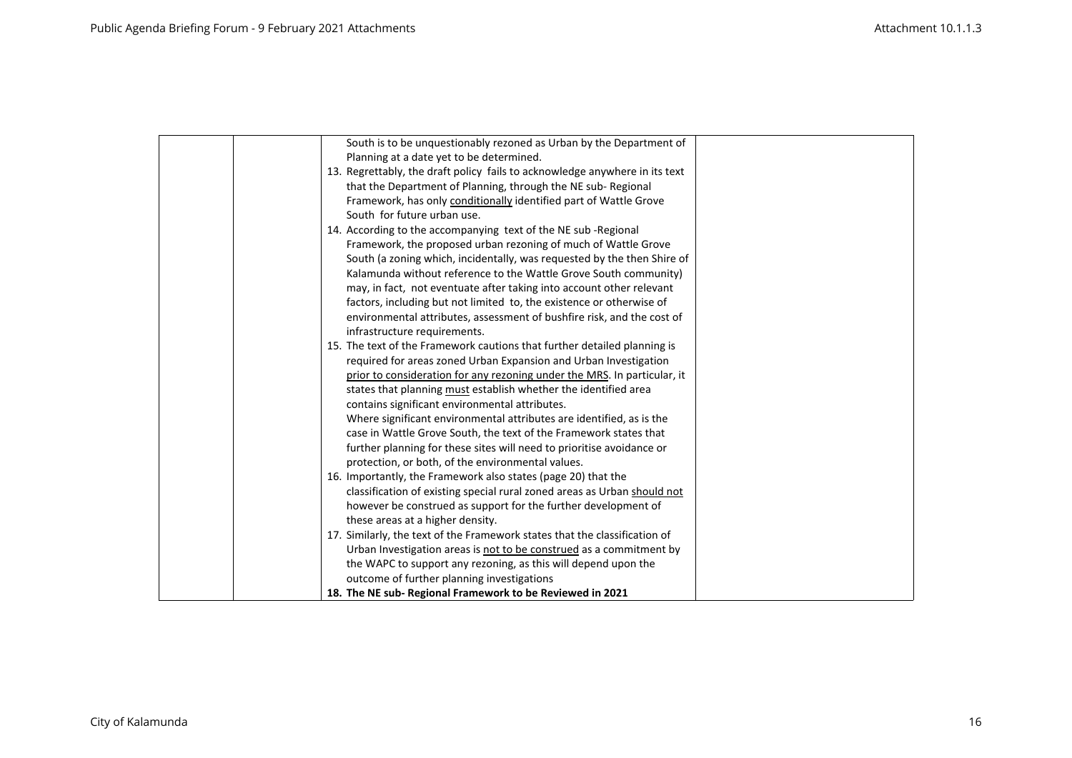| South is to be unquestionably rezoned as Urban by the Department of         |  |
|-----------------------------------------------------------------------------|--|
| Planning at a date yet to be determined.                                    |  |
| 13. Regrettably, the draft policy fails to acknowledge anywhere in its text |  |
| that the Department of Planning, through the NE sub-Regional                |  |
| Framework, has only conditionally identified part of Wattle Grove           |  |
| South for future urban use.                                                 |  |
| 14. According to the accompanying text of the NE sub-Regional               |  |
| Framework, the proposed urban rezoning of much of Wattle Grove              |  |
| South (a zoning which, incidentally, was requested by the then Shire of     |  |
| Kalamunda without reference to the Wattle Grove South community)            |  |
| may, in fact, not eventuate after taking into account other relevant        |  |
| factors, including but not limited to, the existence or otherwise of        |  |
| environmental attributes, assessment of bushfire risk, and the cost of      |  |
| infrastructure requirements.                                                |  |
| 15. The text of the Framework cautions that further detailed planning is    |  |
| required for areas zoned Urban Expansion and Urban Investigation            |  |
| prior to consideration for any rezoning under the MRS. In particular, it    |  |
| states that planning must establish whether the identified area             |  |
| contains significant environmental attributes.                              |  |
| Where significant environmental attributes are identified, as is the        |  |
| case in Wattle Grove South, the text of the Framework states that           |  |
| further planning for these sites will need to prioritise avoidance or       |  |
| protection, or both, of the environmental values.                           |  |
| 16. Importantly, the Framework also states (page 20) that the               |  |
| classification of existing special rural zoned areas as Urban should not    |  |
| however be construed as support for the further development of              |  |
| these areas at a higher density.                                            |  |
| 17. Similarly, the text of the Framework states that the classification of  |  |
| Urban Investigation areas is not to be construed as a commitment by         |  |
| the WAPC to support any rezoning, as this will depend upon the              |  |
| outcome of further planning investigations                                  |  |
| 18. The NE sub-Regional Framework to be Reviewed in 2021                    |  |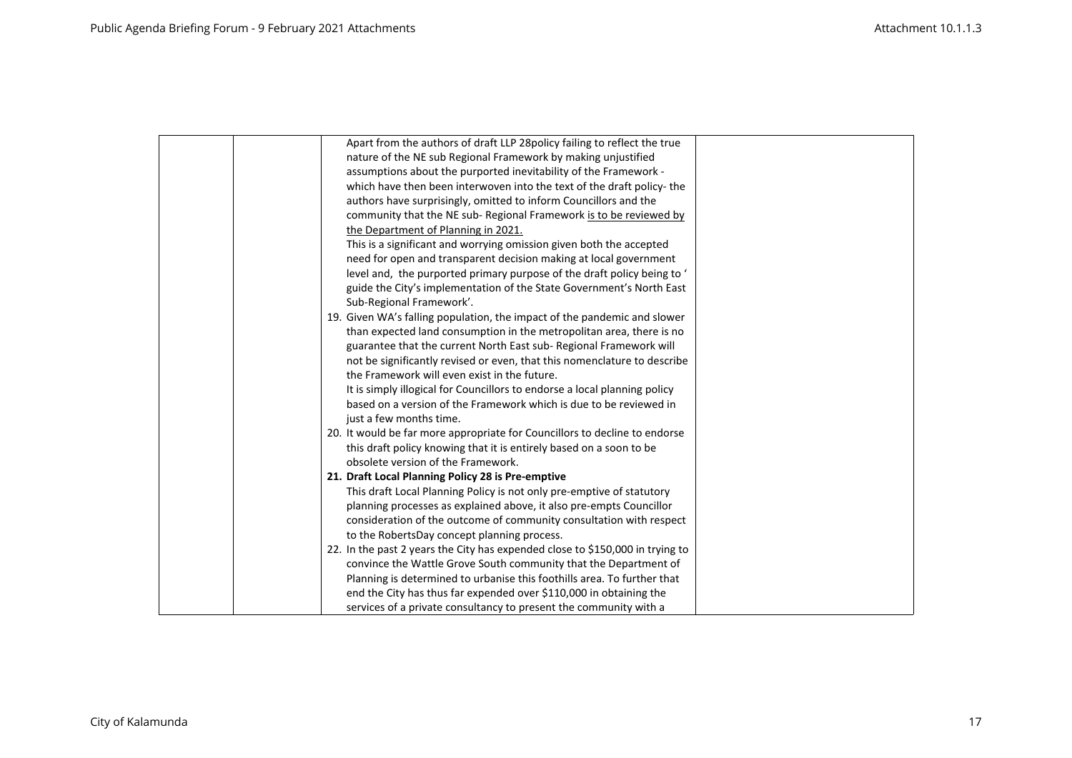| Apart from the authors of draft LLP 28 policy failing to reflect the true     |
|-------------------------------------------------------------------------------|
| nature of the NE sub Regional Framework by making unjustified                 |
| assumptions about the purported inevitability of the Framework -              |
| which have then been interwoven into the text of the draft policy-the         |
| authors have surprisingly, omitted to inform Councillors and the              |
| community that the NE sub-Regional Framework is to be reviewed by             |
| the Department of Planning in 2021.                                           |
| This is a significant and worrying omission given both the accepted           |
| need for open and transparent decision making at local government             |
| level and, the purported primary purpose of the draft policy being to '       |
| guide the City's implementation of the State Government's North East          |
| Sub-Regional Framework'.                                                      |
| 19. Given WA's falling population, the impact of the pandemic and slower      |
| than expected land consumption in the metropolitan area, there is no          |
| guarantee that the current North East sub-Regional Framework will             |
| not be significantly revised or even, that this nomenclature to describe      |
| the Framework will even exist in the future.                                  |
| It is simply illogical for Councillors to endorse a local planning policy     |
| based on a version of the Framework which is due to be reviewed in            |
| just a few months time.                                                       |
| 20. It would be far more appropriate for Councillors to decline to endorse    |
| this draft policy knowing that it is entirely based on a soon to be           |
| obsolete version of the Framework.                                            |
| 21. Draft Local Planning Policy 28 is Pre-emptive                             |
| This draft Local Planning Policy is not only pre-emptive of statutory         |
| planning processes as explained above, it also pre-empts Councillor           |
| consideration of the outcome of community consultation with respect           |
| to the RobertsDay concept planning process.                                   |
| 22. In the past 2 years the City has expended close to \$150,000 in trying to |
| convince the Wattle Grove South community that the Department of              |
| Planning is determined to urbanise this foothills area. To further that       |
| end the City has thus far expended over \$110,000 in obtaining the            |
| services of a private consultancy to present the community with a             |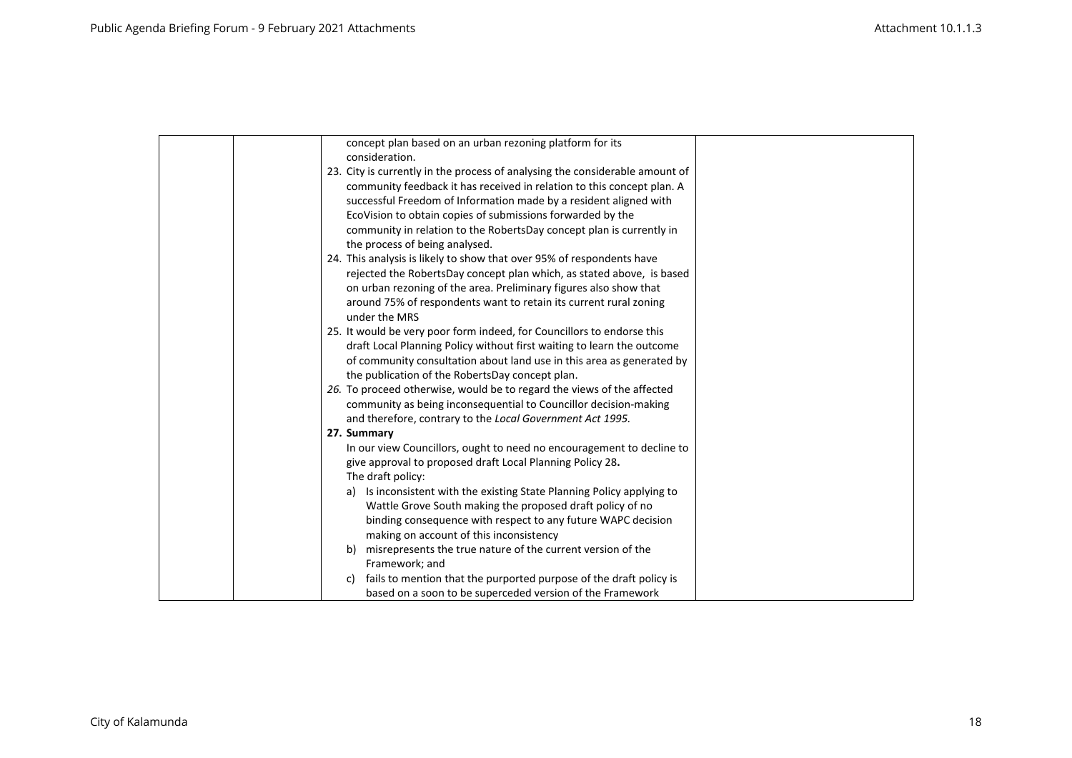| concept plan based on an urban rezoning platform for its                           |  |
|------------------------------------------------------------------------------------|--|
| consideration.                                                                     |  |
| 23. City is currently in the process of analysing the considerable amount of       |  |
| community feedback it has received in relation to this concept plan. A             |  |
| successful Freedom of Information made by a resident aligned with                  |  |
| EcoVision to obtain copies of submissions forwarded by the                         |  |
| community in relation to the RobertsDay concept plan is currently in               |  |
| the process of being analysed.                                                     |  |
| 24. This analysis is likely to show that over 95% of respondents have              |  |
| rejected the RobertsDay concept plan which, as stated above, is based              |  |
| on urban rezoning of the area. Preliminary figures also show that                  |  |
| around 75% of respondents want to retain its current rural zoning<br>under the MRS |  |
| 25. It would be very poor form indeed, for Councillors to endorse this             |  |
| draft Local Planning Policy without first waiting to learn the outcome             |  |
| of community consultation about land use in this area as generated by              |  |
| the publication of the RobertsDay concept plan.                                    |  |
| 26. To proceed otherwise, would be to regard the views of the affected             |  |
| community as being inconsequential to Councillor decision-making                   |  |
| and therefore, contrary to the Local Government Act 1995.                          |  |
| 27. Summary                                                                        |  |
| In our view Councillors, ought to need no encouragement to decline to              |  |
| give approval to proposed draft Local Planning Policy 28.                          |  |
| The draft policy:                                                                  |  |
| Is inconsistent with the existing State Planning Policy applying to<br>a)          |  |
| Wattle Grove South making the proposed draft policy of no                          |  |
| binding consequence with respect to any future WAPC decision                       |  |
| making on account of this inconsistency                                            |  |
| misrepresents the true nature of the current version of the<br>b)                  |  |
| Framework; and                                                                     |  |
| fails to mention that the purported purpose of the draft policy is<br>c)           |  |
| based on a soon to be superceded version of the Framework                          |  |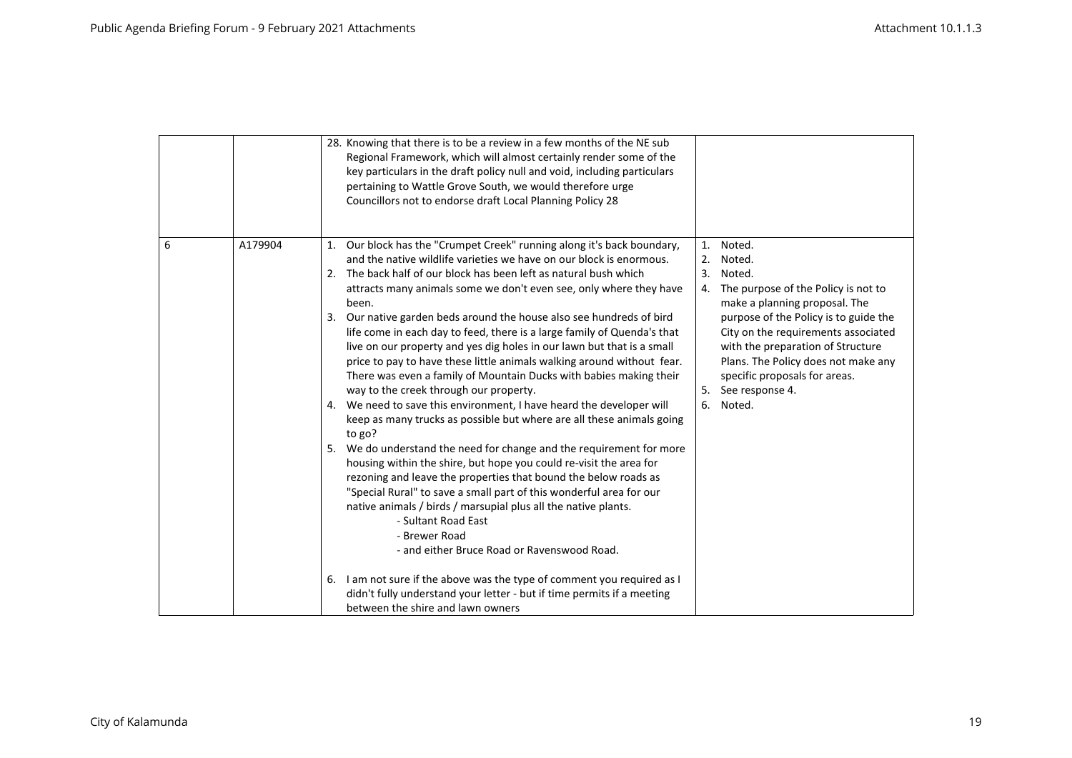|   |         | 28. Knowing that there is to be a review in a few months of the NE sub<br>Regional Framework, which will almost certainly render some of the<br>key particulars in the draft policy null and void, including particulars<br>pertaining to Wattle Grove South, we would therefore urge<br>Councillors not to endorse draft Local Planning Policy 28                                                                                                                                                                                                                                                                                                                                                                                                                                                                                                                                                                                                                                                                                                                                                                                                                                                                                                                                                                                   |                                                                                                                                                                                                                                                                                                                                                               |
|---|---------|--------------------------------------------------------------------------------------------------------------------------------------------------------------------------------------------------------------------------------------------------------------------------------------------------------------------------------------------------------------------------------------------------------------------------------------------------------------------------------------------------------------------------------------------------------------------------------------------------------------------------------------------------------------------------------------------------------------------------------------------------------------------------------------------------------------------------------------------------------------------------------------------------------------------------------------------------------------------------------------------------------------------------------------------------------------------------------------------------------------------------------------------------------------------------------------------------------------------------------------------------------------------------------------------------------------------------------------|---------------------------------------------------------------------------------------------------------------------------------------------------------------------------------------------------------------------------------------------------------------------------------------------------------------------------------------------------------------|
| 6 | A179904 | 1. Our block has the "Crumpet Creek" running along it's back boundary,<br>and the native wildlife varieties we have on our block is enormous.<br>2. The back half of our block has been left as natural bush which<br>attracts many animals some we don't even see, only where they have<br>been.<br>Our native garden beds around the house also see hundreds of bird<br>life come in each day to feed, there is a large family of Quenda's that<br>live on our property and yes dig holes in our lawn but that is a small<br>price to pay to have these little animals walking around without fear.<br>There was even a family of Mountain Ducks with babies making their<br>way to the creek through our property.<br>4. We need to save this environment, I have heard the developer will<br>keep as many trucks as possible but where are all these animals going<br>to go?<br>We do understand the need for change and the requirement for more<br>5.<br>housing within the shire, but hope you could re-visit the area for<br>rezoning and leave the properties that bound the below roads as<br>"Special Rural" to save a small part of this wonderful area for our<br>native animals / birds / marsupial plus all the native plants.<br>- Sultant Road East<br>- Brewer Road<br>- and either Bruce Road or Ravenswood Road. | Noted.<br>1.<br>Noted.<br>2.<br>3.<br>Noted.<br>The purpose of the Policy is not to<br>4.<br>make a planning proposal. The<br>purpose of the Policy is to guide the<br>City on the requirements associated<br>with the preparation of Structure<br>Plans. The Policy does not make any<br>specific proposals for areas.<br>5. See response 4.<br>Noted.<br>6. |
|   |         | 6. I am not sure if the above was the type of comment you required as I<br>didn't fully understand your letter - but if time permits if a meeting<br>between the shire and lawn owners                                                                                                                                                                                                                                                                                                                                                                                                                                                                                                                                                                                                                                                                                                                                                                                                                                                                                                                                                                                                                                                                                                                                               |                                                                                                                                                                                                                                                                                                                                                               |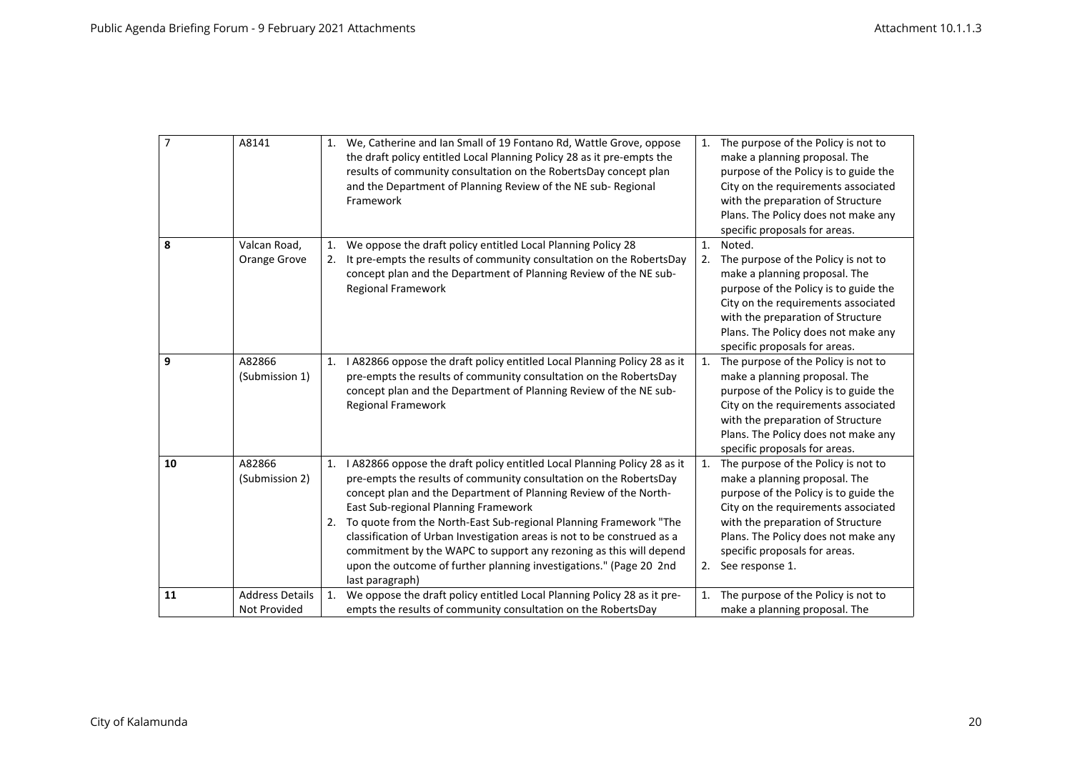| $\overline{7}$ | A8141                                  | 1. | We, Catherine and Ian Small of 19 Fontano Rd, Wattle Grove, oppose<br>the draft policy entitled Local Planning Policy 28 as it pre-empts the<br>results of community consultation on the RobertsDay concept plan<br>and the Department of Planning Review of the NE sub-Regional<br>Framework                                                                                                                                                                                                                                                                               |                      | 1. The purpose of the Policy is not to<br>make a planning proposal. The<br>purpose of the Policy is to guide the<br>City on the requirements associated<br>with the preparation of Structure<br>Plans. The Policy does not make any<br>specific proposals for areas.                    |
|----------------|----------------------------------------|----|-----------------------------------------------------------------------------------------------------------------------------------------------------------------------------------------------------------------------------------------------------------------------------------------------------------------------------------------------------------------------------------------------------------------------------------------------------------------------------------------------------------------------------------------------------------------------------|----------------------|-----------------------------------------------------------------------------------------------------------------------------------------------------------------------------------------------------------------------------------------------------------------------------------------|
| 8              | Valcan Road,<br>Orange Grove           | 1. | We oppose the draft policy entitled Local Planning Policy 28<br>It pre-empts the results of community consultation on the RobertsDay<br>concept plan and the Department of Planning Review of the NE sub-<br><b>Regional Framework</b>                                                                                                                                                                                                                                                                                                                                      | $\mathbf{1}$ .<br>2. | Noted.<br>The purpose of the Policy is not to<br>make a planning proposal. The<br>purpose of the Policy is to guide the<br>City on the requirements associated<br>with the preparation of Structure<br>Plans. The Policy does not make any<br>specific proposals for areas.             |
| 9              | A82866<br>(Submission 1)               | 1. | I A82866 oppose the draft policy entitled Local Planning Policy 28 as it<br>pre-empts the results of community consultation on the RobertsDay<br>concept plan and the Department of Planning Review of the NE sub-<br><b>Regional Framework</b>                                                                                                                                                                                                                                                                                                                             | 1.                   | The purpose of the Policy is not to<br>make a planning proposal. The<br>purpose of the Policy is to guide the<br>City on the requirements associated<br>with the preparation of Structure<br>Plans. The Policy does not make any<br>specific proposals for areas.                       |
| 10             | A82866<br>(Submission 2)               | 1. | I A82866 oppose the draft policy entitled Local Planning Policy 28 as it<br>pre-empts the results of community consultation on the RobertsDay<br>concept plan and the Department of Planning Review of the North-<br>East Sub-regional Planning Framework<br>2. To quote from the North-East Sub-regional Planning Framework "The<br>classification of Urban Investigation areas is not to be construed as a<br>commitment by the WAPC to support any rezoning as this will depend<br>upon the outcome of further planning investigations." (Page 20 2nd<br>last paragraph) | 1.                   | The purpose of the Policy is not to<br>make a planning proposal. The<br>purpose of the Policy is to guide the<br>City on the requirements associated<br>with the preparation of Structure<br>Plans. The Policy does not make any<br>specific proposals for areas.<br>2. See response 1. |
| 11             | <b>Address Details</b><br>Not Provided | 1. | We oppose the draft policy entitled Local Planning Policy 28 as it pre-<br>empts the results of community consultation on the RobertsDay                                                                                                                                                                                                                                                                                                                                                                                                                                    | 1.                   | The purpose of the Policy is not to<br>make a planning proposal. The                                                                                                                                                                                                                    |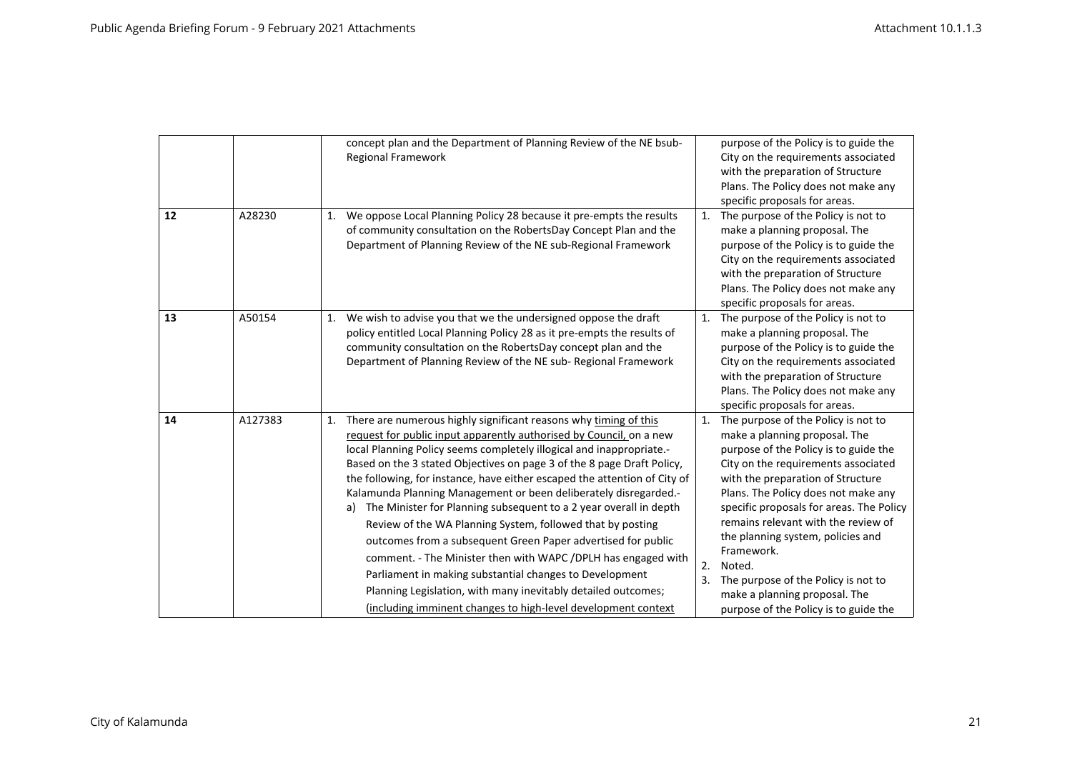|    |         | concept plan and the Department of Planning Review of the NE bsub-<br>Regional Framework                                                                                                                                                                                                                                                                                                                                                                                                                                                                                                                                                                                                                                                                                                                                                                                                                                 | purpose of the Policy is to guide the<br>City on the requirements associated<br>with the preparation of Structure<br>Plans. The Policy does not make any<br>specific proposals for areas.                                                                                                                                                                                                                                                                                                                           |
|----|---------|--------------------------------------------------------------------------------------------------------------------------------------------------------------------------------------------------------------------------------------------------------------------------------------------------------------------------------------------------------------------------------------------------------------------------------------------------------------------------------------------------------------------------------------------------------------------------------------------------------------------------------------------------------------------------------------------------------------------------------------------------------------------------------------------------------------------------------------------------------------------------------------------------------------------------|---------------------------------------------------------------------------------------------------------------------------------------------------------------------------------------------------------------------------------------------------------------------------------------------------------------------------------------------------------------------------------------------------------------------------------------------------------------------------------------------------------------------|
| 12 | A28230  | We oppose Local Planning Policy 28 because it pre-empts the results<br>1.<br>of community consultation on the RobertsDay Concept Plan and the<br>Department of Planning Review of the NE sub-Regional Framework                                                                                                                                                                                                                                                                                                                                                                                                                                                                                                                                                                                                                                                                                                          | 1. The purpose of the Policy is not to<br>make a planning proposal. The<br>purpose of the Policy is to guide the<br>City on the requirements associated<br>with the preparation of Structure<br>Plans. The Policy does not make any<br>specific proposals for areas.                                                                                                                                                                                                                                                |
| 13 | A50154  | We wish to advise you that we the undersigned oppose the draft<br>1.<br>policy entitled Local Planning Policy 28 as it pre-empts the results of<br>community consultation on the RobertsDay concept plan and the<br>Department of Planning Review of the NE sub-Regional Framework                                                                                                                                                                                                                                                                                                                                                                                                                                                                                                                                                                                                                                       | The purpose of the Policy is not to<br>1.<br>make a planning proposal. The<br>purpose of the Policy is to guide the<br>City on the requirements associated<br>with the preparation of Structure<br>Plans. The Policy does not make any<br>specific proposals for areas.                                                                                                                                                                                                                                             |
| 14 | A127383 | There are numerous highly significant reasons why timing of this<br>1.<br>request for public input apparently authorised by Council, on a new<br>local Planning Policy seems completely illogical and inappropriate.-<br>Based on the 3 stated Objectives on page 3 of the 8 page Draft Policy,<br>the following, for instance, have either escaped the attention of City of<br>Kalamunda Planning Management or been deliberately disregarded.-<br>The Minister for Planning subsequent to a 2 year overall in depth<br>a)<br>Review of the WA Planning System, followed that by posting<br>outcomes from a subsequent Green Paper advertised for public<br>comment. - The Minister then with WAPC / DPLH has engaged with<br>Parliament in making substantial changes to Development<br>Planning Legislation, with many inevitably detailed outcomes;<br>(including imminent changes to high-level development context | The purpose of the Policy is not to<br>1.<br>make a planning proposal. The<br>purpose of the Policy is to guide the<br>City on the requirements associated<br>with the preparation of Structure<br>Plans. The Policy does not make any<br>specific proposals for areas. The Policy<br>remains relevant with the review of<br>the planning system, policies and<br>Framework.<br>2.<br>Noted.<br>The purpose of the Policy is not to<br>3.<br>make a planning proposal. The<br>purpose of the Policy is to guide the |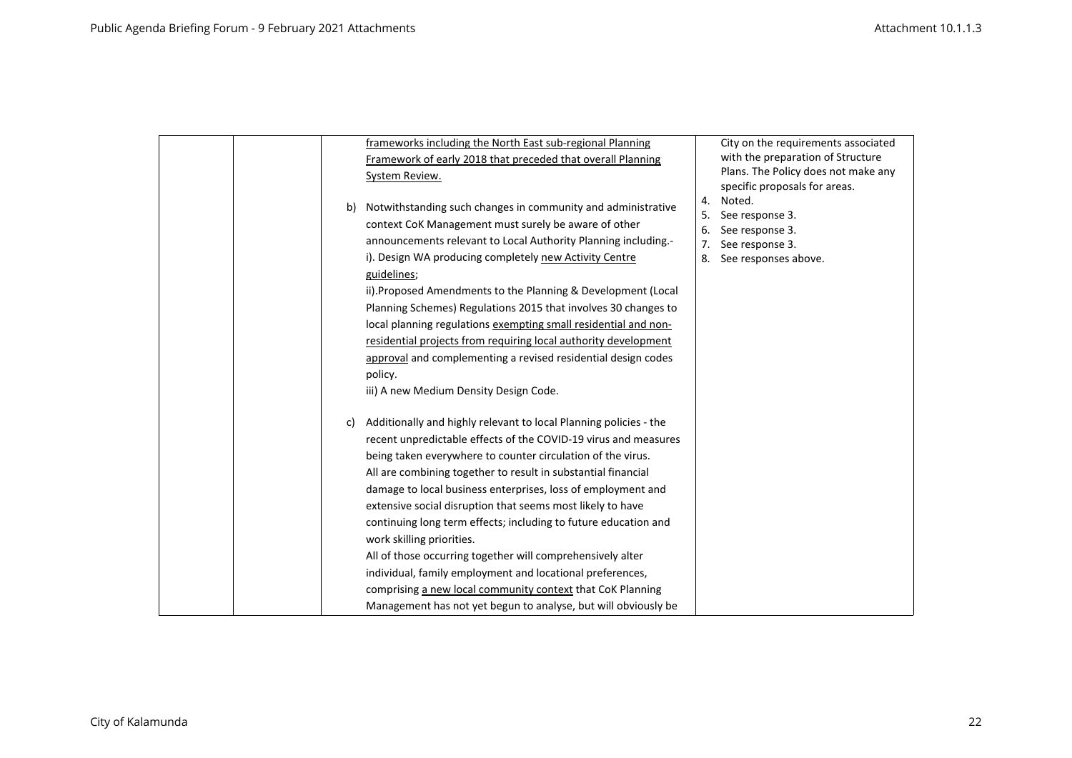|  |    | frameworks including the North East sub-regional Planning         |    | City on the requirements associated     |
|--|----|-------------------------------------------------------------------|----|-----------------------------------------|
|  |    | Framework of early 2018 that preceded that overall Planning       |    | with the preparation of Structure       |
|  |    | System Review.                                                    |    | Plans. The Policy does not make any     |
|  |    |                                                                   | 4. | specific proposals for areas.<br>Noted. |
|  | b) | Notwithstanding such changes in community and administrative      | 5. | See response 3.                         |
|  |    | context CoK Management must surely be aware of other              | 6. | See response 3.                         |
|  |    | announcements relevant to Local Authority Planning including.-    | 7. | See response 3.                         |
|  |    | i). Design WA producing completely new Activity Centre            | 8. | See responses above.                    |
|  |    | guidelines;                                                       |    |                                         |
|  |    | ii). Proposed Amendments to the Planning & Development (Local     |    |                                         |
|  |    | Planning Schemes) Regulations 2015 that involves 30 changes to    |    |                                         |
|  |    | local planning regulations exempting small residential and non-   |    |                                         |
|  |    | residential projects from requiring local authority development   |    |                                         |
|  |    | approval and complementing a revised residential design codes     |    |                                         |
|  |    | policy.                                                           |    |                                         |
|  |    | iii) A new Medium Density Design Code.                            |    |                                         |
|  | C) | Additionally and highly relevant to local Planning policies - the |    |                                         |
|  |    | recent unpredictable effects of the COVID-19 virus and measures   |    |                                         |
|  |    | being taken everywhere to counter circulation of the virus.       |    |                                         |
|  |    | All are combining together to result in substantial financial     |    |                                         |
|  |    | damage to local business enterprises, loss of employment and      |    |                                         |
|  |    | extensive social disruption that seems most likely to have        |    |                                         |
|  |    | continuing long term effects; including to future education and   |    |                                         |
|  |    | work skilling priorities.                                         |    |                                         |
|  |    | All of those occurring together will comprehensively alter        |    |                                         |
|  |    | individual, family employment and locational preferences,         |    |                                         |
|  |    | comprising a new local community context that CoK Planning        |    |                                         |
|  |    | Management has not yet begun to analyse, but will obviously be    |    |                                         |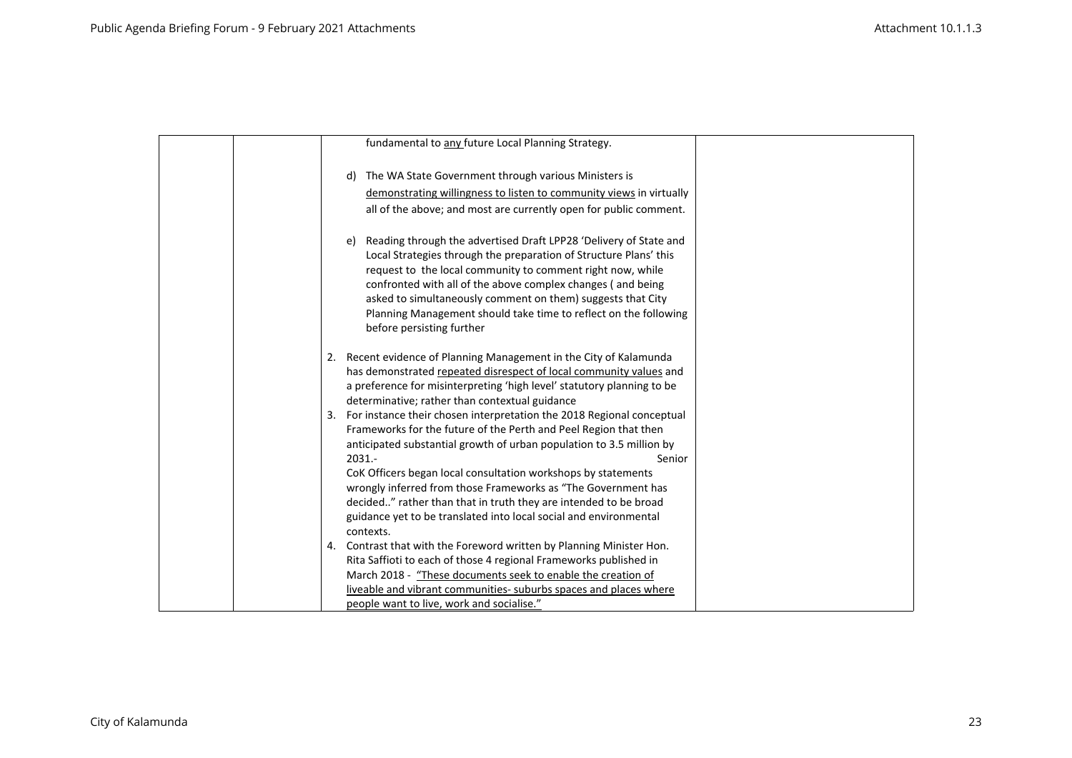|    | fundamental to any future Local Planning Strategy.                                                                                                                                                                                                                                                                                                                                                                                        |  |
|----|-------------------------------------------------------------------------------------------------------------------------------------------------------------------------------------------------------------------------------------------------------------------------------------------------------------------------------------------------------------------------------------------------------------------------------------------|--|
|    | The WA State Government through various Ministers is<br>d)                                                                                                                                                                                                                                                                                                                                                                                |  |
|    |                                                                                                                                                                                                                                                                                                                                                                                                                                           |  |
|    | demonstrating willingness to listen to community views in virtually                                                                                                                                                                                                                                                                                                                                                                       |  |
|    | all of the above; and most are currently open for public comment.                                                                                                                                                                                                                                                                                                                                                                         |  |
|    | Reading through the advertised Draft LPP28 'Delivery of State and<br>e)<br>Local Strategies through the preparation of Structure Plans' this<br>request to the local community to comment right now, while<br>confronted with all of the above complex changes (and being<br>asked to simultaneously comment on them) suggests that City<br>Planning Management should take time to reflect on the following<br>before persisting further |  |
|    |                                                                                                                                                                                                                                                                                                                                                                                                                                           |  |
| 2. | Recent evidence of Planning Management in the City of Kalamunda                                                                                                                                                                                                                                                                                                                                                                           |  |
|    | has demonstrated repeated disrespect of local community values and                                                                                                                                                                                                                                                                                                                                                                        |  |
|    | a preference for misinterpreting 'high level' statutory planning to be                                                                                                                                                                                                                                                                                                                                                                    |  |
|    | determinative; rather than contextual guidance                                                                                                                                                                                                                                                                                                                                                                                            |  |
| 3. | For instance their chosen interpretation the 2018 Regional conceptual                                                                                                                                                                                                                                                                                                                                                                     |  |
|    | Frameworks for the future of the Perth and Peel Region that then                                                                                                                                                                                                                                                                                                                                                                          |  |
|    | anticipated substantial growth of urban population to 3.5 million by<br>$2031. -$<br>Senior                                                                                                                                                                                                                                                                                                                                               |  |
|    | CoK Officers began local consultation workshops by statements                                                                                                                                                                                                                                                                                                                                                                             |  |
|    | wrongly inferred from those Frameworks as "The Government has                                                                                                                                                                                                                                                                                                                                                                             |  |
|    | decided" rather than that in truth they are intended to be broad                                                                                                                                                                                                                                                                                                                                                                          |  |
|    | guidance yet to be translated into local social and environmental                                                                                                                                                                                                                                                                                                                                                                         |  |
|    | contexts.                                                                                                                                                                                                                                                                                                                                                                                                                                 |  |
| 4. | Contrast that with the Foreword written by Planning Minister Hon.                                                                                                                                                                                                                                                                                                                                                                         |  |
|    | Rita Saffioti to each of those 4 regional Frameworks published in                                                                                                                                                                                                                                                                                                                                                                         |  |
|    | March 2018 - "These documents seek to enable the creation of                                                                                                                                                                                                                                                                                                                                                                              |  |
|    | liveable and vibrant communities- suburbs spaces and places where                                                                                                                                                                                                                                                                                                                                                                         |  |
|    | people want to live, work and socialise."                                                                                                                                                                                                                                                                                                                                                                                                 |  |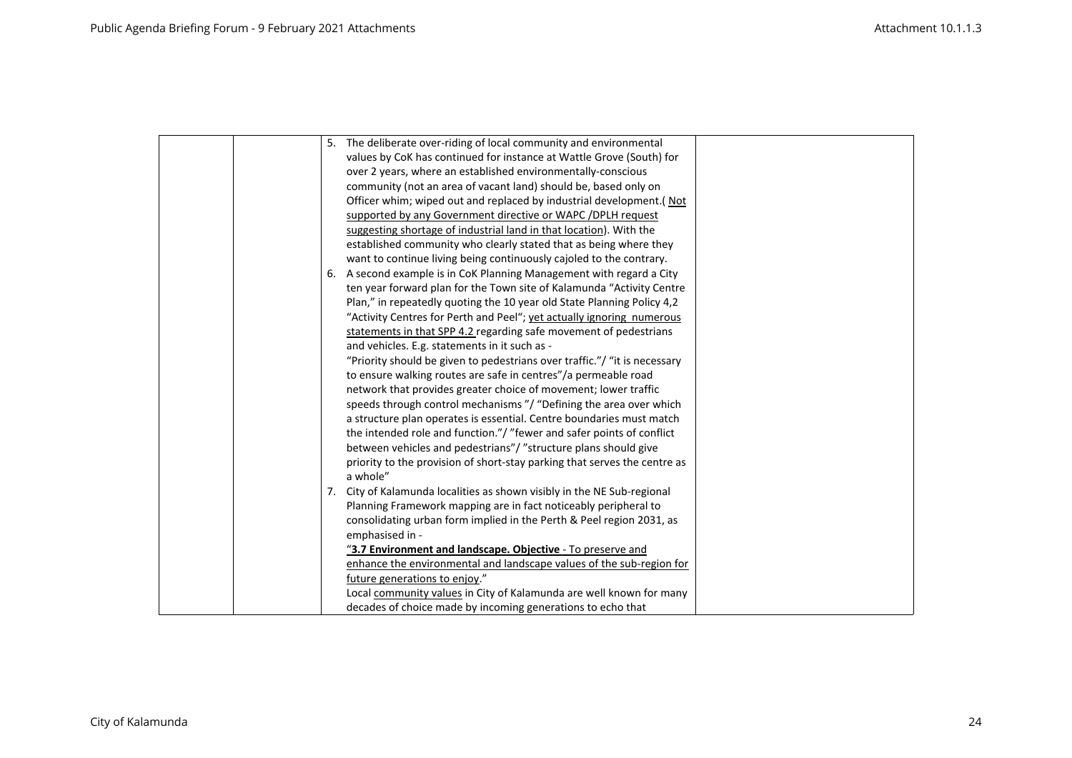|  | 5. The deliberate over-riding of local community and environmental        |
|--|---------------------------------------------------------------------------|
|  | values by CoK has continued for instance at Wattle Grove (South) for      |
|  | over 2 years, where an established environmentally-conscious              |
|  | community (not an area of vacant land) should be, based only on           |
|  | Officer whim; wiped out and replaced by industrial development.( Not      |
|  | supported by any Government directive or WAPC / DPLH request              |
|  | suggesting shortage of industrial land in that location). With the        |
|  | established community who clearly stated that as being where they         |
|  | want to continue living being continuously cajoled to the contrary.       |
|  | 6. A second example is in CoK Planning Management with regard a City      |
|  | ten year forward plan for the Town site of Kalamunda "Activity Centre     |
|  | Plan," in repeatedly quoting the 10 year old State Planning Policy 4,2    |
|  | "Activity Centres for Perth and Peel"; yet actually ignoring numerous     |
|  | statements in that SPP 4.2 regarding safe movement of pedestrians         |
|  | and vehicles. E.g. statements in it such as -                             |
|  | "Priority should be given to pedestrians over traffic."/ "it is necessary |
|  | to ensure walking routes are safe in centres"/a permeable road            |
|  | network that provides greater choice of movement; lower traffic           |
|  | speeds through control mechanisms "/ "Defining the area over which        |
|  | a structure plan operates is essential. Centre boundaries must match      |
|  | the intended role and function."/ "fewer and safer points of conflict     |
|  | between vehicles and pedestrians"/ "structure plans should give           |
|  | priority to the provision of short-stay parking that serves the centre as |
|  | a whole"                                                                  |
|  | 7. City of Kalamunda localities as shown visibly in the NE Sub-regional   |
|  | Planning Framework mapping are in fact noticeably peripheral to           |
|  | consolidating urban form implied in the Perth & Peel region 2031, as      |
|  | emphasised in -                                                           |
|  | "3.7 Environment and landscape. Objective - To preserve and               |
|  | enhance the environmental and landscape values of the sub-region for      |
|  | future generations to enjoy."                                             |
|  | Local community values in City of Kalamunda are well known for many       |
|  | decades of choice made by incoming generations to echo that               |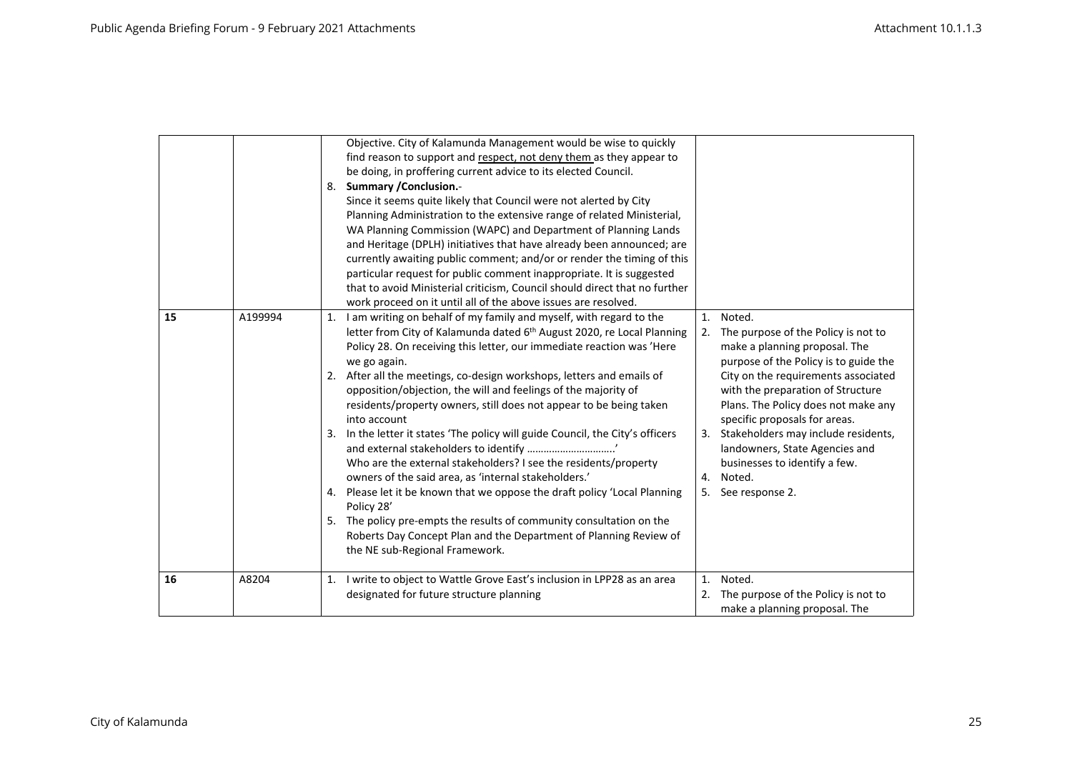|    |         | Objective. City of Kalamunda Management would be wise to quickly<br>find reason to support and respect, not deny them as they appear to<br>be doing, in proffering current advice to its elected Council.<br>8. Summary / Conclusion.-<br>Since it seems quite likely that Council were not alerted by City<br>Planning Administration to the extensive range of related Ministerial,<br>WA Planning Commission (WAPC) and Department of Planning Lands<br>and Heritage (DPLH) initiatives that have already been announced; are                                                                                                                                                                                                                                                                                                                                                                                                                                                |                                                                                                                                                                                                                                                                                                                                                                                                                                                  |
|----|---------|---------------------------------------------------------------------------------------------------------------------------------------------------------------------------------------------------------------------------------------------------------------------------------------------------------------------------------------------------------------------------------------------------------------------------------------------------------------------------------------------------------------------------------------------------------------------------------------------------------------------------------------------------------------------------------------------------------------------------------------------------------------------------------------------------------------------------------------------------------------------------------------------------------------------------------------------------------------------------------|--------------------------------------------------------------------------------------------------------------------------------------------------------------------------------------------------------------------------------------------------------------------------------------------------------------------------------------------------------------------------------------------------------------------------------------------------|
|    |         | currently awaiting public comment; and/or or render the timing of this<br>particular request for public comment inappropriate. It is suggested<br>that to avoid Ministerial criticism, Council should direct that no further<br>work proceed on it until all of the above issues are resolved.                                                                                                                                                                                                                                                                                                                                                                                                                                                                                                                                                                                                                                                                                  |                                                                                                                                                                                                                                                                                                                                                                                                                                                  |
| 15 | A199994 | I am writing on behalf of my family and myself, with regard to the<br>1.<br>letter from City of Kalamunda dated 6 <sup>th</sup> August 2020, re Local Planning<br>Policy 28. On receiving this letter, our immediate reaction was 'Here<br>we go again.<br>2. After all the meetings, co-design workshops, letters and emails of<br>opposition/objection, the will and feelings of the majority of<br>residents/property owners, still does not appear to be being taken<br>into account<br>3. In the letter it states 'The policy will guide Council, the City's officers<br>Who are the external stakeholders? I see the residents/property<br>owners of the said area, as 'internal stakeholders.'<br>4. Please let it be known that we oppose the draft policy 'Local Planning<br>Policy 28'<br>5. The policy pre-empts the results of community consultation on the<br>Roberts Day Concept Plan and the Department of Planning Review of<br>the NE sub-Regional Framework. | Noted.<br>1.<br>The purpose of the Policy is not to<br>2.<br>make a planning proposal. The<br>purpose of the Policy is to guide the<br>City on the requirements associated<br>with the preparation of Structure<br>Plans. The Policy does not make any<br>specific proposals for areas.<br>Stakeholders may include residents,<br>3.<br>landowners, State Agencies and<br>businesses to identify a few.<br>Noted.<br>4.<br>See response 2.<br>5. |
| 16 | A8204   | 1. I write to object to Wattle Grove East's inclusion in LPP28 as an area<br>designated for future structure planning                                                                                                                                                                                                                                                                                                                                                                                                                                                                                                                                                                                                                                                                                                                                                                                                                                                           | Noted.<br>1.<br>The purpose of the Policy is not to<br>2.<br>make a planning proposal. The                                                                                                                                                                                                                                                                                                                                                       |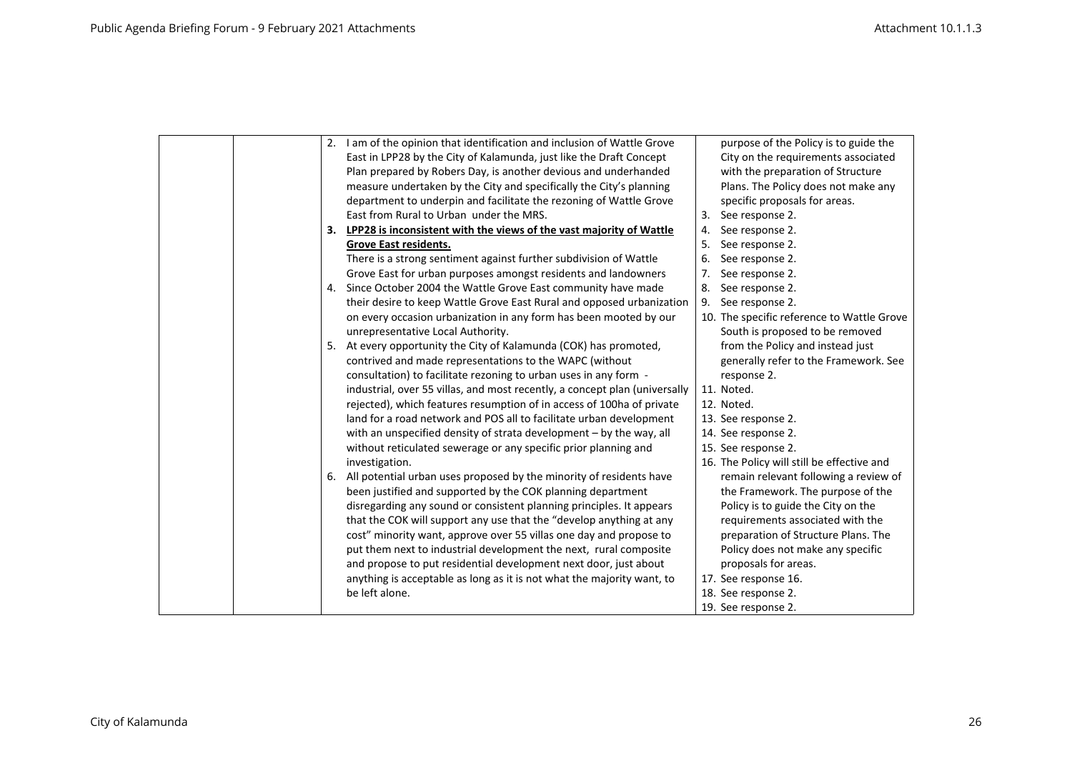|  |  | 2. I am of the opinion that identification and inclusion of Wattle Grove   |    | purpose of the Policy is to guide the      |
|--|--|----------------------------------------------------------------------------|----|--------------------------------------------|
|  |  | East in LPP28 by the City of Kalamunda, just like the Draft Concept        |    | City on the requirements associated        |
|  |  | Plan prepared by Robers Day, is another devious and underhanded            |    | with the preparation of Structure          |
|  |  | measure undertaken by the City and specifically the City's planning        |    | Plans. The Policy does not make any        |
|  |  | department to underpin and facilitate the rezoning of Wattle Grove         |    | specific proposals for areas.              |
|  |  | East from Rural to Urban under the MRS.                                    |    | 3. See response 2.                         |
|  |  | 3. LPP28 is inconsistent with the views of the vast majority of Wattle     | 4. | See response 2.                            |
|  |  | Grove East residents.                                                      | 5. | See response 2.                            |
|  |  | There is a strong sentiment against further subdivision of Wattle          | 6. | See response 2.                            |
|  |  | Grove East for urban purposes amongst residents and landowners             | 7. | See response 2.                            |
|  |  | 4. Since October 2004 the Wattle Grove East community have made            | 8. | See response 2.                            |
|  |  | their desire to keep Wattle Grove East Rural and opposed urbanization      | 9. | See response 2.                            |
|  |  | on every occasion urbanization in any form has been mooted by our          |    | 10. The specific reference to Wattle Grove |
|  |  | unrepresentative Local Authority.                                          |    | South is proposed to be removed            |
|  |  | 5. At every opportunity the City of Kalamunda (COK) has promoted,          |    | from the Policy and instead just           |
|  |  | contrived and made representations to the WAPC (without                    |    | generally refer to the Framework. See      |
|  |  | consultation) to facilitate rezoning to urban uses in any form -           |    | response 2.                                |
|  |  | industrial, over 55 villas, and most recently, a concept plan (universally |    | 11. Noted.                                 |
|  |  | rejected), which features resumption of in access of 100ha of private      |    | 12. Noted.                                 |
|  |  | land for a road network and POS all to facilitate urban development        |    | 13. See response 2.                        |
|  |  | with an unspecified density of strata development - by the way, all        |    | 14. See response 2.                        |
|  |  | without reticulated sewerage or any specific prior planning and            |    | 15. See response 2.                        |
|  |  | investigation.                                                             |    | 16. The Policy will still be effective and |
|  |  | 6. All potential urban uses proposed by the minority of residents have     |    | remain relevant following a review of      |
|  |  | been justified and supported by the COK planning department                |    | the Framework. The purpose of the          |
|  |  | disregarding any sound or consistent planning principles. It appears       |    | Policy is to guide the City on the         |
|  |  | that the COK will support any use that the "develop anything at any        |    | requirements associated with the           |
|  |  | cost" minority want, approve over 55 villas one day and propose to         |    | preparation of Structure Plans. The        |
|  |  | put them next to industrial development the next, rural composite          |    | Policy does not make any specific          |
|  |  | and propose to put residential development next door, just about           |    | proposals for areas.                       |
|  |  | anything is acceptable as long as it is not what the majority want, to     |    | 17. See response 16.                       |
|  |  | be left alone.                                                             |    | 18. See response 2.                        |
|  |  |                                                                            |    | 19. See response 2.                        |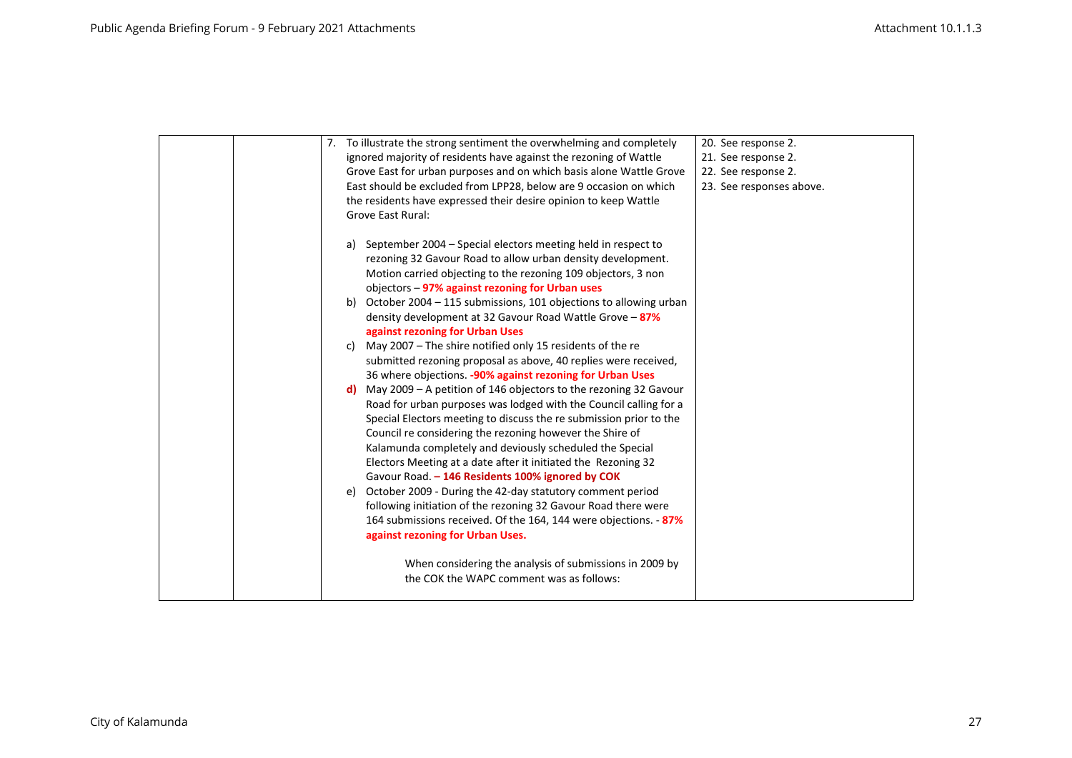| 7. To illustrate the strong sentiment the overwhelming and completely<br>ignored majority of residents have against the rezoning of Wattle<br>Grove East for urban purposes and on which basis alone Wattle Grove<br>East should be excluded from LPP28, below are 9 occasion on which<br>the residents have expressed their desire opinion to keep Wattle<br><b>Grove East Rural:</b>                                                                                                                                                                                                                                                                                                                                                                                                                                                                                                                                                                                                                                                                                                                                                                                                                                                                                                                                                                                                                                                                   | 20. See response 2.<br>21. See response 2.<br>22. See response 2.<br>23. See responses above. |
|----------------------------------------------------------------------------------------------------------------------------------------------------------------------------------------------------------------------------------------------------------------------------------------------------------------------------------------------------------------------------------------------------------------------------------------------------------------------------------------------------------------------------------------------------------------------------------------------------------------------------------------------------------------------------------------------------------------------------------------------------------------------------------------------------------------------------------------------------------------------------------------------------------------------------------------------------------------------------------------------------------------------------------------------------------------------------------------------------------------------------------------------------------------------------------------------------------------------------------------------------------------------------------------------------------------------------------------------------------------------------------------------------------------------------------------------------------|-----------------------------------------------------------------------------------------------|
| September 2004 – Special electors meeting held in respect to<br>a)<br>rezoning 32 Gavour Road to allow urban density development.<br>Motion carried objecting to the rezoning 109 objectors, 3 non<br>objectors - 97% against rezoning for Urban uses<br>October 2004 - 115 submissions, 101 objections to allowing urban<br>b)<br>density development at 32 Gavour Road Wattle Grove - 87%<br>against rezoning for Urban Uses<br>May 2007 - The shire notified only 15 residents of the re<br>c)<br>submitted rezoning proposal as above, 40 replies were received,<br>36 where objections. -90% against rezoning for Urban Uses<br>May 2009 - A petition of 146 objectors to the rezoning 32 Gavour<br>d).<br>Road for urban purposes was lodged with the Council calling for a<br>Special Electors meeting to discuss the re submission prior to the<br>Council re considering the rezoning however the Shire of<br>Kalamunda completely and deviously scheduled the Special<br>Electors Meeting at a date after it initiated the Rezoning 32<br>Gavour Road. - 146 Residents 100% ignored by COK<br>October 2009 - During the 42-day statutory comment period<br>e)<br>following initiation of the rezoning 32 Gavour Road there were<br>164 submissions received. Of the 164, 144 were objections. - 87%<br>against rezoning for Urban Uses.<br>When considering the analysis of submissions in 2009 by<br>the COK the WAPC comment was as follows: |                                                                                               |
|                                                                                                                                                                                                                                                                                                                                                                                                                                                                                                                                                                                                                                                                                                                                                                                                                                                                                                                                                                                                                                                                                                                                                                                                                                                                                                                                                                                                                                                          |                                                                                               |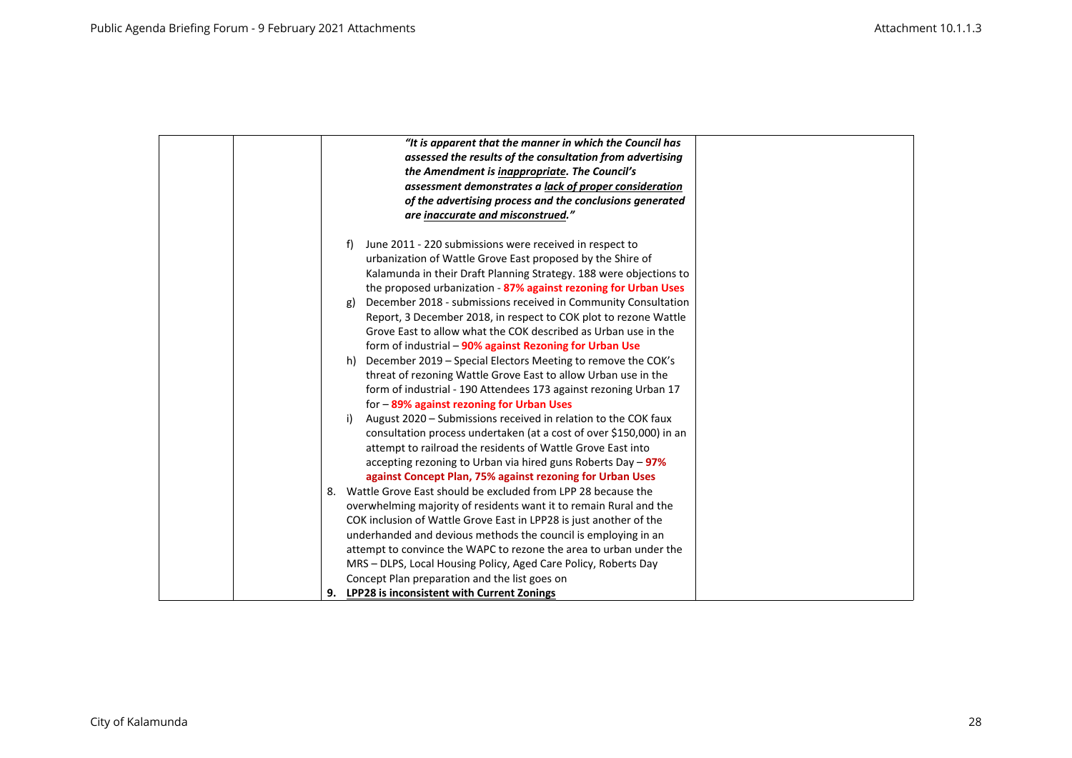| "It is apparent that the manner in which the Council has                                                                                                                                                                                                                                                                                                                                                                                                                                                                                                                                                                                                                                                                                                                                                                                                                                                                                                                                                                                                                                                                                                                                                                                                                                                                                                                                                                                                                                                   |
|------------------------------------------------------------------------------------------------------------------------------------------------------------------------------------------------------------------------------------------------------------------------------------------------------------------------------------------------------------------------------------------------------------------------------------------------------------------------------------------------------------------------------------------------------------------------------------------------------------------------------------------------------------------------------------------------------------------------------------------------------------------------------------------------------------------------------------------------------------------------------------------------------------------------------------------------------------------------------------------------------------------------------------------------------------------------------------------------------------------------------------------------------------------------------------------------------------------------------------------------------------------------------------------------------------------------------------------------------------------------------------------------------------------------------------------------------------------------------------------------------------|
| assessed the results of the consultation from advertising                                                                                                                                                                                                                                                                                                                                                                                                                                                                                                                                                                                                                                                                                                                                                                                                                                                                                                                                                                                                                                                                                                                                                                                                                                                                                                                                                                                                                                                  |
| the Amendment is inappropriate. The Council's                                                                                                                                                                                                                                                                                                                                                                                                                                                                                                                                                                                                                                                                                                                                                                                                                                                                                                                                                                                                                                                                                                                                                                                                                                                                                                                                                                                                                                                              |
| assessment demonstrates a lack of proper consideration                                                                                                                                                                                                                                                                                                                                                                                                                                                                                                                                                                                                                                                                                                                                                                                                                                                                                                                                                                                                                                                                                                                                                                                                                                                                                                                                                                                                                                                     |
| of the advertising process and the conclusions generated                                                                                                                                                                                                                                                                                                                                                                                                                                                                                                                                                                                                                                                                                                                                                                                                                                                                                                                                                                                                                                                                                                                                                                                                                                                                                                                                                                                                                                                   |
| are inaccurate and misconstrued."                                                                                                                                                                                                                                                                                                                                                                                                                                                                                                                                                                                                                                                                                                                                                                                                                                                                                                                                                                                                                                                                                                                                                                                                                                                                                                                                                                                                                                                                          |
| June 2011 - 220 submissions were received in respect to<br>f)<br>urbanization of Wattle Grove East proposed by the Shire of<br>Kalamunda in their Draft Planning Strategy. 188 were objections to<br>the proposed urbanization - 87% against rezoning for Urban Uses<br>December 2018 - submissions received in Community Consultation<br>g)<br>Report, 3 December 2018, in respect to COK plot to rezone Wattle<br>Grove East to allow what the COK described as Urban use in the<br>form of industrial - 90% against Rezoning for Urban Use<br>h) December 2019 - Special Electors Meeting to remove the COK's<br>threat of rezoning Wattle Grove East to allow Urban use in the<br>form of industrial - 190 Attendees 173 against rezoning Urban 17<br>for - 89% against rezoning for Urban Uses<br>August 2020 - Submissions received in relation to the COK faux<br>i)<br>consultation process undertaken (at a cost of over \$150,000) in an<br>attempt to railroad the residents of Wattle Grove East into<br>accepting rezoning to Urban via hired guns Roberts Day $-97\%$<br>against Concept Plan, 75% against rezoning for Urban Uses<br>Wattle Grove East should be excluded from LPP 28 because the<br>8.<br>overwhelming majority of residents want it to remain Rural and the<br>COK inclusion of Wattle Grove East in LPP28 is just another of the<br>underhanded and devious methods the council is employing in an<br>attempt to convince the WAPC to rezone the area to urban under the |
| MRS – DLPS, Local Housing Policy, Aged Care Policy, Roberts Day                                                                                                                                                                                                                                                                                                                                                                                                                                                                                                                                                                                                                                                                                                                                                                                                                                                                                                                                                                                                                                                                                                                                                                                                                                                                                                                                                                                                                                            |
| Concept Plan preparation and the list goes on                                                                                                                                                                                                                                                                                                                                                                                                                                                                                                                                                                                                                                                                                                                                                                                                                                                                                                                                                                                                                                                                                                                                                                                                                                                                                                                                                                                                                                                              |
| <b>LPP28 is inconsistent with Current Zonings</b>                                                                                                                                                                                                                                                                                                                                                                                                                                                                                                                                                                                                                                                                                                                                                                                                                                                                                                                                                                                                                                                                                                                                                                                                                                                                                                                                                                                                                                                          |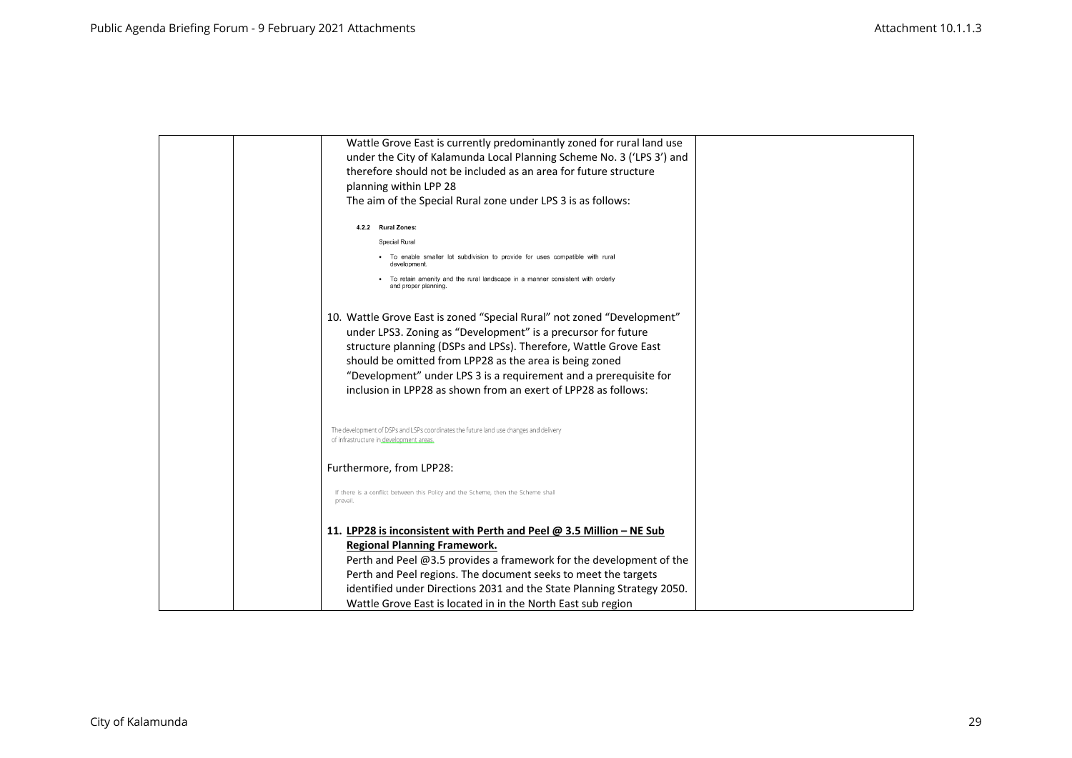| Wattle Grove East is currently predominantly zoned for rural land use                                 |  |
|-------------------------------------------------------------------------------------------------------|--|
| under the City of Kalamunda Local Planning Scheme No. 3 ('LPS 3') and                                 |  |
| therefore should not be included as an area for future structure                                      |  |
| planning within LPP 28                                                                                |  |
| The aim of the Special Rural zone under LPS 3 is as follows:                                          |  |
| 4.2.2 Rural Zones:                                                                                    |  |
| Special Rural                                                                                         |  |
| • To enable smaller lot subdivision to provide for uses compatible with rural<br>development          |  |
| To retain amenity and the rural landscape in a manner consistent with orderly<br>and proper planning. |  |
| 10. Wattle Grove East is zoned "Special Rural" not zoned "Development"                                |  |
| under LPS3. Zoning as "Development" is a precursor for future                                         |  |
| structure planning (DSPs and LPSs). Therefore, Wattle Grove East                                      |  |
| should be omitted from LPP28 as the area is being zoned                                               |  |
| "Development" under LPS 3 is a requirement and a prerequisite for                                     |  |
| inclusion in LPP28 as shown from an exert of LPP28 as follows:                                        |  |
| The development of DSPs and LSPs coordinates the future land use changes and delivery                 |  |
| of infrastructure in development areas                                                                |  |
| Furthermore, from LPP28:                                                                              |  |
| If there is a conflict between this Policy and the Scheme, then the Scheme shall<br>prevail           |  |
| 11. LPP28 is inconsistent with Perth and Peel $\omega$ 3.5 Million – NE Sub                           |  |
| <b>Regional Planning Framework.</b>                                                                   |  |
| Perth and Peel @3.5 provides a framework for the development of the                                   |  |
| Perth and Peel regions. The document seeks to meet the targets                                        |  |
| identified under Directions 2031 and the State Planning Strategy 2050.                                |  |
| Wattle Grove East is located in in the North East sub region                                          |  |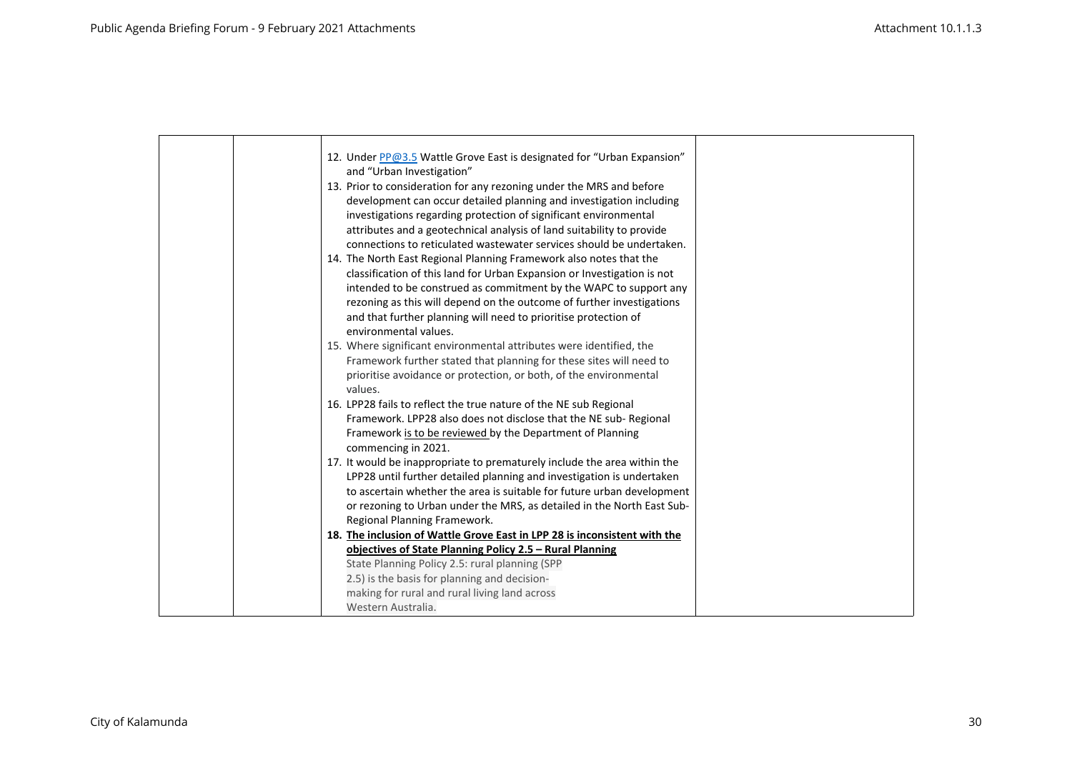|  | 12. Under PP@3.5 Wattle Grove East is designated for "Urban Expansion"    |  |
|--|---------------------------------------------------------------------------|--|
|  | and "Urban Investigation"                                                 |  |
|  | 13. Prior to consideration for any rezoning under the MRS and before      |  |
|  | development can occur detailed planning and investigation including       |  |
|  | investigations regarding protection of significant environmental          |  |
|  | attributes and a geotechnical analysis of land suitability to provide     |  |
|  | connections to reticulated wastewater services should be undertaken.      |  |
|  | 14. The North East Regional Planning Framework also notes that the        |  |
|  | classification of this land for Urban Expansion or Investigation is not   |  |
|  | intended to be construed as commitment by the WAPC to support any         |  |
|  | rezoning as this will depend on the outcome of further investigations     |  |
|  | and that further planning will need to prioritise protection of           |  |
|  | environmental values.                                                     |  |
|  | 15. Where significant environmental attributes were identified, the       |  |
|  | Framework further stated that planning for these sites will need to       |  |
|  | prioritise avoidance or protection, or both, of the environmental         |  |
|  | values.                                                                   |  |
|  | 16. LPP28 fails to reflect the true nature of the NE sub Regional         |  |
|  | Framework. LPP28 also does not disclose that the NE sub-Regional          |  |
|  | Framework is to be reviewed by the Department of Planning                 |  |
|  | commencing in 2021.                                                       |  |
|  | 17. It would be inappropriate to prematurely include the area within the  |  |
|  | LPP28 until further detailed planning and investigation is undertaken     |  |
|  | to ascertain whether the area is suitable for future urban development    |  |
|  | or rezoning to Urban under the MRS, as detailed in the North East Sub-    |  |
|  | Regional Planning Framework.                                              |  |
|  | 18. The inclusion of Wattle Grove East in LPP 28 is inconsistent with the |  |
|  | objectives of State Planning Policy 2.5 – Rural Planning                  |  |
|  | State Planning Policy 2.5: rural planning (SPP                            |  |
|  | 2.5) is the basis for planning and decision-                              |  |
|  | making for rural and rural living land across                             |  |
|  | Western Australia.                                                        |  |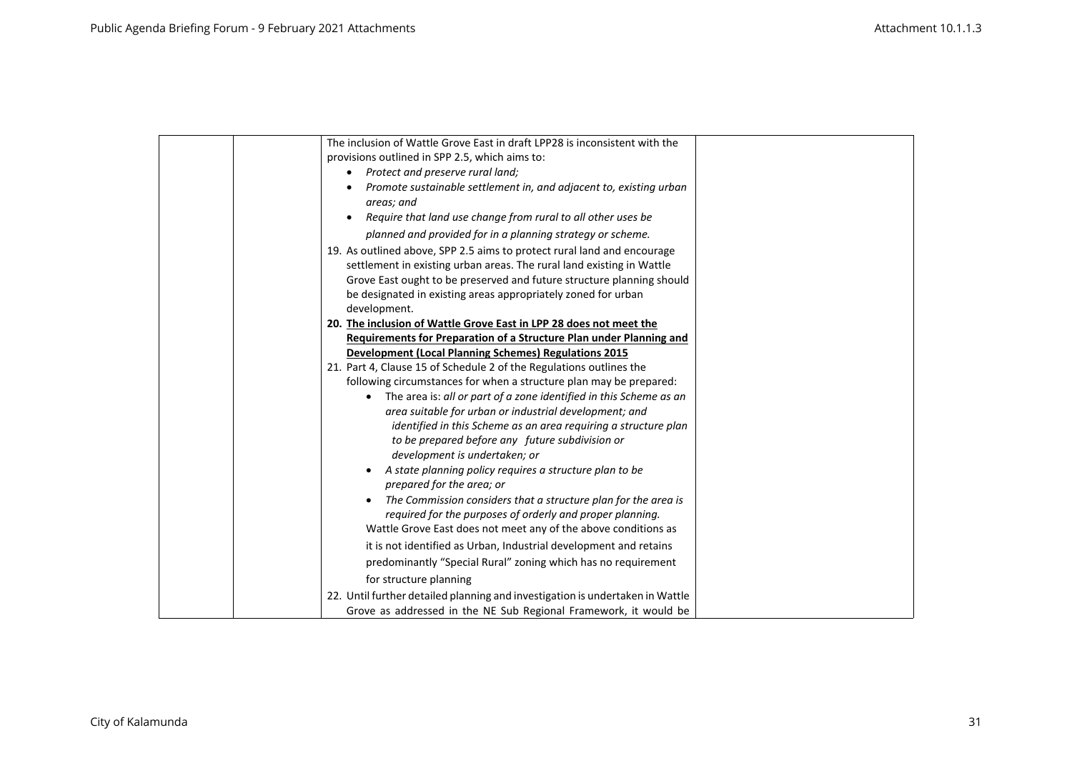| The inclusion of Wattle Grove East in draft LPP28 is inconsistent with the    |
|-------------------------------------------------------------------------------|
| provisions outlined in SPP 2.5, which aims to:                                |
| Protect and preserve rural land;                                              |
| Promote sustainable settlement in, and adjacent to, existing urban            |
| areas; and                                                                    |
| Require that land use change from rural to all other uses be                  |
| planned and provided for in a planning strategy or scheme.                    |
| 19. As outlined above, SPP 2.5 aims to protect rural land and encourage       |
| settlement in existing urban areas. The rural land existing in Wattle         |
| Grove East ought to be preserved and future structure planning should         |
| be designated in existing areas appropriately zoned for urban                 |
| development.                                                                  |
| 20. The inclusion of Wattle Grove East in LPP 28 does not meet the            |
| Requirements for Preparation of a Structure Plan under Planning and           |
| <b>Development (Local Planning Schemes) Regulations 2015</b>                  |
| 21. Part 4, Clause 15 of Schedule 2 of the Regulations outlines the           |
| following circumstances for when a structure plan may be prepared:            |
| The area is: all or part of a zone identified in this Scheme as an            |
| area suitable for urban or industrial development; and                        |
| identified in this Scheme as an area requiring a structure plan               |
| to be prepared before any future subdivision or                               |
| development is undertaken; or                                                 |
| A state planning policy requires a structure plan to be                       |
| prepared for the area; or                                                     |
| The Commission considers that a structure plan for the area is                |
| required for the purposes of orderly and proper planning.                     |
| Wattle Grove East does not meet any of the above conditions as                |
| it is not identified as Urban, Industrial development and retains             |
| predominantly "Special Rural" zoning which has no requirement                 |
| for structure planning                                                        |
| 22. Until further detailed planning and investigation is undertaken in Wattle |
| Grove as addressed in the NE Sub Regional Framework, it would be              |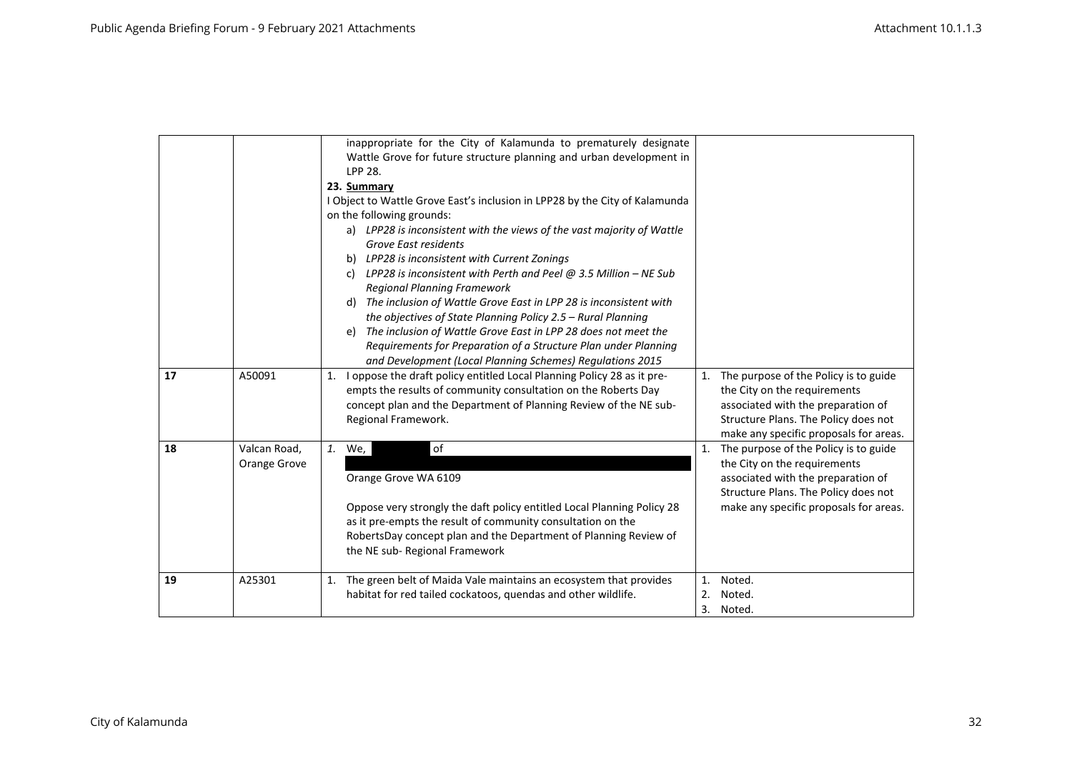|    |                              | inappropriate for the City of Kalamunda to prematurely designate<br>Wattle Grove for future structure planning and urban development in<br>LPP 28.<br>23. Summary<br>I Object to Wattle Grove East's inclusion in LPP28 by the City of Kalamunda<br>on the following grounds:<br>a) LPP28 is inconsistent with the views of the vast majority of Wattle<br>Grove East residents<br>b) LPP28 is inconsistent with Current Zonings<br>c) LPP28 is inconsistent with Perth and Peel $@$ 3.5 Million - NE Sub<br><b>Regional Planning Framework</b><br>The inclusion of Wattle Grove East in LPP 28 is inconsistent with<br>d)<br>the objectives of State Planning Policy 2.5 - Rural Planning<br>e) The inclusion of Wattle Grove East in LPP 28 does not meet the<br>Requirements for Preparation of a Structure Plan under Planning |                |                                                                                                                                                                                                  |
|----|------------------------------|------------------------------------------------------------------------------------------------------------------------------------------------------------------------------------------------------------------------------------------------------------------------------------------------------------------------------------------------------------------------------------------------------------------------------------------------------------------------------------------------------------------------------------------------------------------------------------------------------------------------------------------------------------------------------------------------------------------------------------------------------------------------------------------------------------------------------------|----------------|--------------------------------------------------------------------------------------------------------------------------------------------------------------------------------------------------|
|    |                              | and Development (Local Planning Schemes) Regulations 2015                                                                                                                                                                                                                                                                                                                                                                                                                                                                                                                                                                                                                                                                                                                                                                          |                |                                                                                                                                                                                                  |
| 17 | A50091                       | I oppose the draft policy entitled Local Planning Policy 28 as it pre-<br>1.<br>empts the results of community consultation on the Roberts Day<br>concept plan and the Department of Planning Review of the NE sub-<br>Regional Framework.                                                                                                                                                                                                                                                                                                                                                                                                                                                                                                                                                                                         |                | 1. The purpose of the Policy is to guide<br>the City on the requirements<br>associated with the preparation of<br>Structure Plans. The Policy does not<br>make any specific proposals for areas. |
| 18 | Valcan Road,<br>Orange Grove | of<br>1. We,<br>Orange Grove WA 6109<br>Oppose very strongly the daft policy entitled Local Planning Policy 28<br>as it pre-empts the result of community consultation on the<br>RobertsDay concept plan and the Department of Planning Review of<br>the NE sub-Regional Framework                                                                                                                                                                                                                                                                                                                                                                                                                                                                                                                                                 |                | 1. The purpose of the Policy is to guide<br>the City on the requirements<br>associated with the preparation of<br>Structure Plans. The Policy does not<br>make any specific proposals for areas. |
| 19 | A25301                       | 1. The green belt of Maida Vale maintains an ecosystem that provides<br>habitat for red tailed cockatoos, quendas and other wildlife.                                                                                                                                                                                                                                                                                                                                                                                                                                                                                                                                                                                                                                                                                              | 1.<br>2.<br>3. | Noted.<br>Noted.<br>Noted.                                                                                                                                                                       |